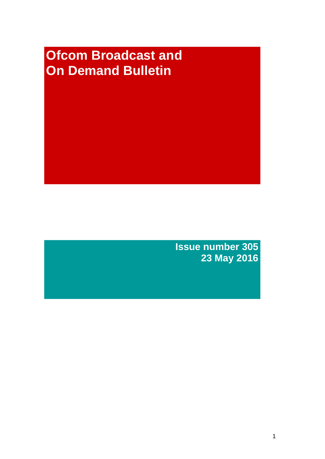# **Ofcom Broadcast and On Demand Bulletin**

**Issue number 305 23 May 2016**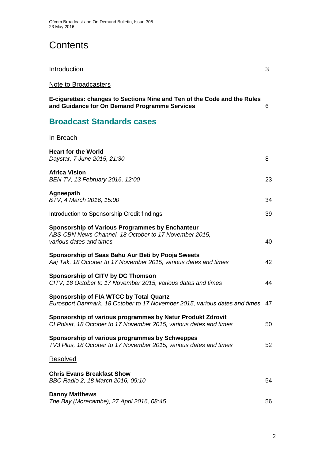# **Contents**

| Introduction                                                                                                                        | 3  |
|-------------------------------------------------------------------------------------------------------------------------------------|----|
| Note to Broadcasters                                                                                                                |    |
| E-cigarettes: changes to Sections Nine and Ten of the Code and the Rules<br>and Guidance for On Demand Programme Services           | 6  |
| <b>Broadcast Standards cases</b>                                                                                                    |    |
| In Breach                                                                                                                           |    |
| <b>Heart for the World</b><br>Daystar, 7 June 2015, 21:30                                                                           | 8  |
| <b>Africa Vision</b><br>BEN TV, 13 February 2016, 12:00                                                                             | 23 |
| Agneepath<br>&TV, 4 March 2016, 15:00                                                                                               | 34 |
| Introduction to Sponsorship Credit findings                                                                                         | 39 |
| Sponsorship of Various Programmes by Enchanteur<br>ABS-CBN News Channel, 18 October to 17 November 2015,<br>various dates and times | 40 |
| Sponsorship of Saas Bahu Aur Beti by Pooja Sweets<br>Aaj Tak, 18 October to 17 November 2015, various dates and times               | 42 |
| Sponsorship of CITV by DC Thomson<br>CITV, 18 October to 17 November 2015, various dates and times                                  | 44 |
| <b>Sponsorship of FIA WTCC by Total Quartz</b><br>Eurosport Danmark, 18 October to 17 November 2015, various dates and times 47     |    |
| Sponsorship of various programmes by Natur Produkt Zdrovit<br>CI Polsat, 18 October to 17 November 2015, various dates and times    | 50 |
| Sponsorship of various programmes by Schweppes<br>TV3 Plus, 18 October to 17 November 2015, various dates and times                 | 52 |
| <b>Resolved</b>                                                                                                                     |    |
| <b>Chris Evans Breakfast Show</b><br>BBC Radio 2, 18 March 2016, 09:10                                                              | 54 |
| <b>Danny Matthews</b><br>The Bay (Morecambe), 27 April 2016, 08:45                                                                  | 56 |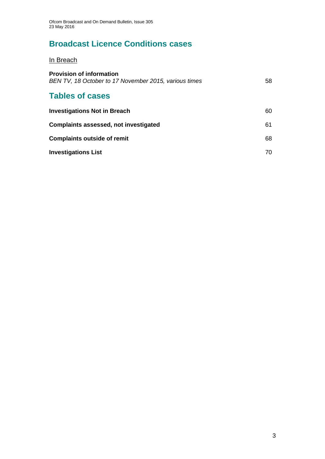# **Broadcast Licence Conditions cases**

In Breach

| <b>Provision of information</b><br>BEN TV, 18 October to 17 November 2015, various times | 58 |
|------------------------------------------------------------------------------------------|----|
| <b>Tables of cases</b>                                                                   |    |
| <b>Investigations Not in Breach</b>                                                      | 60 |
| Complaints assessed, not investigated                                                    | 61 |
| <b>Complaints outside of remit</b>                                                       | 68 |
| <b>Investigations List</b>                                                               | 70 |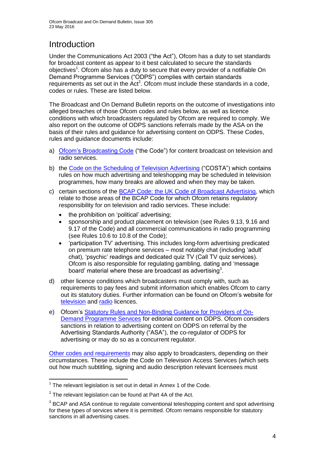# Introduction

Under the Communications Act 2003 ("the Act"), Ofcom has a duty to set standards for broadcast content as appear to it best calculated to secure the standards objectives<sup>1</sup>. Ofcom also has a duty to secure that every provider of a notifiable On Demand Programme Services ("ODPS") complies with certain standards requirements as set out in the Act<sup>2</sup>. Ofcom must include these standards in a code, codes or rules. These are listed below.

The Broadcast and On Demand Bulletin reports on the outcome of investigations into alleged breaches of those Ofcom codes and rules below, as well as licence conditions with which broadcasters regulated by Ofcom are required to comply. We also report on the outcome of ODPS sanctions referrals made by the ASA on the basis of their rules and guidance for advertising content on ODPS. These Codes, rules and guidance documents include:

- a) [Ofcom's Broadcasting Code](http://stakeholders.ofcom.org.uk/broadcasting/broadcast-codes/broadcast-code/) ("the Code") for content broadcast on television and radio services.
- b) the [Code on the Scheduling of Television Advertising](http://stakeholders.ofcom.org.uk/binaries/broadcast/other-codes/COSTA_April_2016.pdf) ("COSTA") which contains rules on how much advertising and teleshopping may be scheduled in television programmes, how many breaks are allowed and when they may be taken.
- c) certain sections of the [BCAP Code: the UK Code of Broadcast Advertising,](https://www.cap.org.uk/Advertising-Codes/Broadcast.aspx) which relate to those areas of the BCAP Code for which Ofcom retains regulatory responsibility for on television and radio services. These include:
	- the prohibition on 'political' advertising;
	- sponsorship and product placement on television (see Rules 9.13, 9.16 and 9.17 of the Code) and all commercial communications in radio programming (see Rules 10.6 to 10.8 of the Code);
	- 'participation TV' advertising. This includes long-form advertising predicated on premium rate telephone services – most notably chat (including 'adult' chat), 'psychic' readings and dedicated quiz TV (Call TV quiz services). Ofcom is also responsible for regulating gambling, dating and 'message board' material where these are broadcast as advertising<sup>3</sup>.
- d) other licence conditions which broadcasters must comply with, such as requirements to pay fees and submit information which enables Ofcom to carry out its statutory duties. Further information can be found on Ofcom's website for [television](http://licensing.ofcom.org.uk/tv-broadcast-licences/) and [radio](http://licensing.ofcom.org.uk/radio-broadcast-licensing/) licences.
- e) Ofcom's [Statutory Rules and Non-Binding Guidance for Providers of On-](http://stakeholders.ofcom.org.uk/binaries/broadcast/on-demand/rules-guidance/rules_and_guidance.pdf)[Demand Programme Services](http://stakeholders.ofcom.org.uk/binaries/broadcast/on-demand/rules-guidance/rules_and_guidance.pdf) for editorial content on ODPS. Ofcom considers sanctions in relation to advertising content on ODPS on referral by the Advertising Standards Authority ("ASA"), the co-regulator of ODPS for advertising or may do so as a concurrent regulator.

[Other codes and requirements](http://stakeholders.ofcom.org.uk/broadcasting/broadcast-codes/) may also apply to broadcasters, depending on their circumstances. These include the Code on Television Access Services (which sets out how much subtitling, signing and audio description relevant licensees must

<sup>1</sup>  $1$  The relevant legislation is set out in detail in Annex 1 of the Code.

 $2$  The relevant legislation can be found at Part 4A of the Act.

 $3$  BCAP and ASA continue to regulate conventional teleshopping content and spot advertising for these types of services where it is permitted. Ofcom remains responsible for statutory sanctions in all advertising cases.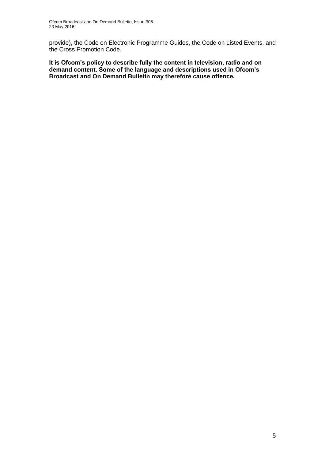provide), the Code on Electronic Programme Guides, the Code on Listed Events, and the Cross Promotion Code.

**It is Ofcom's policy to describe fully the content in television, radio and on demand content. Some of the language and descriptions used in Ofcom's Broadcast and On Demand Bulletin may therefore cause offence.**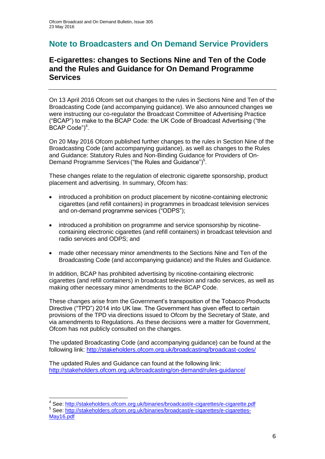### **Note to Broadcasters and On Demand Service Providers**

### **E-cigarettes: changes to Sections Nine and Ten of the Code and the Rules and Guidance for On Demand Programme Services**

On 13 April 2016 Ofcom set out changes to the rules in Sections Nine and Ten of the Broadcasting Code (and accompanying guidance). We also announced changes we were instructing our co-regulator the Broadcast Committee of Advertising Practice ("BCAP") to make to the BCAP Code: the UK Code of Broadcast Advertising ("the BCAP Code")<sup>4</sup>.

On 20 May 2016 Ofcom published further changes to the rules in Section Nine of the Broadcasting Code (and accompanying guidance), as well as changes to the Rules and Guidance: Statutory Rules and Non-Binding Guidance for Providers of On-Demand Programme Services ("the Rules and Guidance")<sup>5</sup>.

These changes relate to the regulation of electronic cigarette sponsorship, product placement and advertising. In summary, Ofcom has:

- introduced a prohibition on product placement by nicotine-containing electronic cigarettes (and refill containers) in programmes in broadcast television services and on-demand programme services ("ODPS");
- introduced a prohibition on programme and service sponsorship by nicotinecontaining electronic cigarettes (and refill containers) in broadcast television and radio services and ODPS; and
- made other necessary minor amendments to the Sections Nine and Ten of the Broadcasting Code (and accompanying guidance) and the Rules and Guidance.

In addition, BCAP has prohibited advertising by nicotine-containing electronic cigarettes (and refill containers) in broadcast television and radio services, as well as making other necessary minor amendments to the BCAP Code.

These changes arise from the Government's transposition of the Tobacco Products Directive ("TPD") 2014 into UK law. The Government has given effect to certain provisions of the TPD via directions issued to Ofcom by the Secretary of State, and via amendments to Regulations. As these decisions were a matter for Government, Ofcom has not publicly consulted on the changes.

The updated Broadcasting Code (and accompanying guidance) can be found at the following link:<http://stakeholders.ofcom.org.uk/broadcasting/broadcast-codes/>

The updated Rules and Guidance can found at the following link: <http://stakeholders.ofcom.org.uk/broadcasting/on-demand/rules-guidance/>

<sup>1</sup> <sup>4</sup> See:<http://stakeholders.ofcom.org.uk/binaries/broadcast/e-cigarettes/e-cigarette.pdf>

<sup>&</sup>lt;sup>5</sup> See: [http://stakeholders.ofcom.org.uk/binaries/broadcast/e-cigarettes/e-cigarettes-](http://stakeholders.ofcom.org.uk/binaries/broadcast/e-cigarettes/e-cigarettes-May16.pdf)[May16.pdf](http://stakeholders.ofcom.org.uk/binaries/broadcast/e-cigarettes/e-cigarettes-May16.pdf)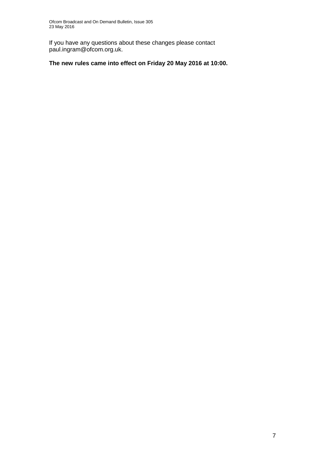If you have any questions about these changes please contact paul.ingram@ofcom.org.uk.

### **The new rules came into effect on Friday 20 May 2016 at 10:00.**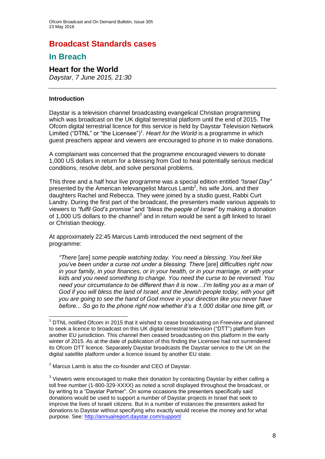### **Broadcast Standards cases**

### **In Breach**

### **Heart for the World**

*Daystar, 7 June 2015, 21:30*

### **Introduction**

<u>.</u>

Daystar is a television channel broadcasting evangelical Christian programming which was broadcast on the UK digital terrestrial platform until the end of 2015. The Ofcom digital terrestrial licence for this service is held by Daystar Television Network Limited ("DTNL" or "the Licensee")<sup>1</sup>. Heart for the World is a programme in which guest preachers appear and viewers are encouraged to phone in to make donations.

A complainant was concerned that the programme encouraged viewers to donate 1,000 US dollars in return for a blessing from God to heal potentially serious medical conditions, resolve debt, and solve personal problems.

This three and a half hour live programme was a special edition entitled *"Israel Day"*  presented by the American televangelist Marcus Lamb<sup>2</sup>, his wife Joni, and their daughters Rachel and Rebecca. They were joined by a studio guest, Rabbi Curt Landry. During the first part of the broadcast, the presenters made various appeals to viewers to *"fulfil God's promise"* and *"bless the people of Israel"* by making a donation of 1,000 US dollars to the channel<sup>3</sup> and in return would be sent a gift linked to Israel or Christian theology.

At approximately 22:45 Marcus Lamb introduced the next segment of the programme:

*"There* [are] *some people watching today. You need a blessing. You feel like you've been under a curse not under a blessing. There* [are] *difficulties right now in your family, in your finances, or in your health, or in your marriage, or with your kids and you need something to change. You need the curse to be reversed. You need your circumstance to be different than it is now…I'm telling you as a man of God if you will bless the land of Israel, and the Jewish people today, with your gift you are going to see the hand of God move in your direction like you never have before... So go to the phone right now whether it's a 1,000 dollar one time gift, or* 

<sup>1</sup> DTNL notified Ofcom in 2015 that it wished to cease broadcasting on Freeview and planned to seek a licence to broadcast on this UK digital terrestrial television ("DTT") platform from another EU jurisdiction. This channel then ceased broadcasting on this platform in the early winter of 2015. As at the date of publication of this finding the Licensee had not surrendered its Ofcom DTT licence. Separately Daystar broadcasts the Daystar service to the UK on the digital satellite platform under a licence issued by another EU state.

 $2$  Marcus Lamb is also the co-founder and CEO of Daystar.

 $3$  Viewers were encouraged to make their donation by contacting Daystar by either calling a toll free number (1-800-329-XXXX) as noted a scroll displayed throughout the broadcast, or by writing to a "Daystar Partner". On some occasions the presenters specifically said donations would be used to support a number of Daystar projects in Israel that seek to improve the lives of Israeli citizens. But in a number of instances the presenters asked for donations to Daystar without specifying who exactly would receive the money and for what purpose. See:<http://annualreport.daystar.com/support/>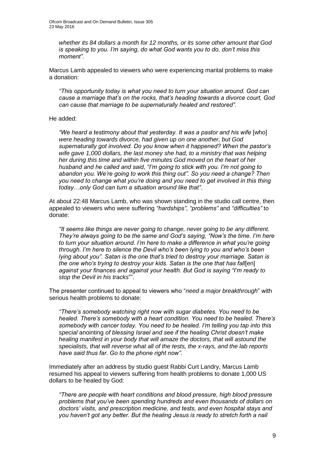*whether its 84 dollars a month for 12 months, or its some other amount that God is speaking to you. I'm saying, do what God wants you to do, don't miss this moment".*

Marcus Lamb appealed to viewers who were experiencing marital problems to make a donation:

*"This opportunity today is what you need to turn your situation around. God can cause a marriage that's on the rocks, that's heading towards a divorce court, God can cause that marriage to be supernaturally healed and restored".*

#### He added:

*"We heard a testimony about that yesterday. It was a pastor and his wife* [who] *were heading towards divorce, had given up on one another, but God supernaturally got involved. Do you know when it happened? When the pastor's wife gave 1,000 dollars, the last money she had, to a ministry that was helping her during this time and within five minutes God moved on the heart of her husband and he called and said, "I'm going to stick with you. I'm not going to abandon you. We're going to work this thing out". So you need a change? Then you need to change what you're doing and you need to get involved in this thing today…only God can turn a situation around like that".*

At about 22:48 Marcus Lamb, who was shown standing in the studio call centre, then appealed to viewers who were suffering *"hardships"*, *"problems"* and *"difficulties"* to donate:

*"It seems like things are never going to change, never going to be any different. They're always going to be the same and God's saying, "Now's the time. I'm here to turn your situation around. I'm here to make a difference in what you're going through. I'm here to silence the Devil who's been lying to you and who's been lying about you". Satan is the one that's tried to destroy your marriage. Satan is the one who's trying to destroy your kids. Satan is the one that has fall*[en] *against your finances and against your health. But God is saying "I'm ready to stop the Devil in his tracks*"".

The presenter continued to appeal to viewers who "*need a major breakthrough*" with serious health problems to donate:

*"There's somebody watching right now with sugar diabetes. You need to be healed. There's somebody with a heart condition. You need to be healed. There's somebody with cancer today. You need to be healed. I'm telling you tap into this special* anointing *of blessing Israel and see if the healing Christ doesn't make healing manifest in your body that will amaze the doctors, that will astound the specialists, that will reverse what all of the tests, the x-rays, and the lab reports have said thus far. Go to the phone right now"*.

Immediately after an address by studio guest Rabbi Curt Landry, Marcus Lamb resumed his appeal to viewers suffering from health problems to donate 1,000 US dollars to be healed by God:

*"There are people with heart conditions and blood pressure, high blood pressure problems that you've been spending hundreds and even thousands of dollars on doctors' visits, and prescription medicine, and tests, and even hospital stays and you haven't got any better. But the healing Jesus is ready to stretch forth a nail*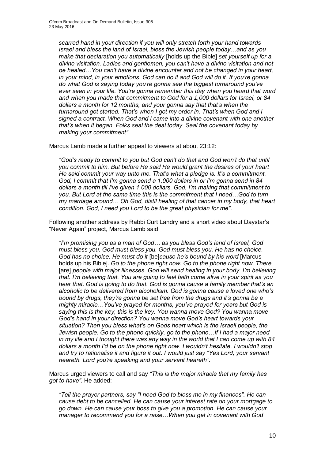*scarred hand in your direction if you will only stretch forth your hand towards Israel and bless the land of Israel, bless the Jewish people today…and as you make that declaration you automatically* [holds up the Bible] *set yourself up for a divine visitation. Ladies and gentlemen, you can't have a divine visitation and not be healed…You can't have a divine encounter and not be changed in your heart, in your mind, in your emotions. God can do it and God will do it. If you're gonna do what God is saying today you're gonna see the biggest turnaround you've ever seen in your life. You're gonna remember this day when you heard that word and when you made that commitment to God for a 1,000 dollars for Israel, or 84 dollars a month for 12 months, and your gonna say that that's when the turnaround got started. That's when I got my order in. That's when God and I signed a contract. When God and I came into a divine covenant with one another that's when it began. Folks seal the deal today. Seal the covenant today by making your commitment".*

Marcus Lamb made a further appeal to viewers at about 23:12:

"God's ready to commit to you but God can't do that and God won't do that until *you commit to him. But before He said He would grant the desires of your heart He said commit your way unto me. That's what a pledge is. It's a commitment. God, I commit that I'm gonna send a 1,000 dollars in or I'm gonna send in 84 dollars a month till I've given 1,000 dollars. God, I'm making that commitment to you. But Lord at the same time this is the commitment that I need…God to turn my marriage around… Oh God, distil healing of that cancer in my body, that heart condition. God, I need you Lord to be the great physician for me"*.

Following another address by Rabbi Curt Landry and a short video about Daystar's "Never Again" project, Marcus Lamb said:

*"I'm promising you as a man of God… as you bless God's land of Israel, God must bless you. God must bless you. God must bless you. He has no choice. God has no choice. He must do it* [be]*cause he's bound by his word* [Marcus holds up his Bible]. *Go to the phone right now. Go to the phone right now. There* [are] people with major illnesses. God will send healing in your body. I'm believing *that. I'm believing that. You are going to feel faith come alive in your spirit as you hear that*. *God is going to do that. God is gonna cause a family member that's an alcoholic to be delivered from alcoholism. God is gonna cause a loved one who's bound by drugs, they're gonna be set free from the drugs and it's gonna be a mighty miracle…You've prayed for months, you've prayed for years but God is saying this is the key, this is the key. You wanna move God? You wanna move God's hand in your direction? You wanna move God's heart towards your situation? Then you bless what's on Gods heart which is the Israeli people, the Jewish people. Go to the phone quickly, go to the phone…If I had a major need in my life and I thought there was any way in the world that I can come up with 84 dollars a month I'd be on the phone right now. I wouldn't hesitate. I wouldn't stop and try to rationalise it and figure it out. I would just say "Yes Lord, your servant heareth. Lord you're speaking and your servant heareth"*.

Marcus urged viewers to call and say *"This is the major miracle that my family has got to have"*. He added:

*"Tell the prayer partners, say "I need God to bless me in my finances". He can cause debt to be cancelled. He can cause your interest rate on your mortgage to go down. He can cause your boss to give you a promotion. He can cause your manager to recommend you for a raise…When you get in covenant with God*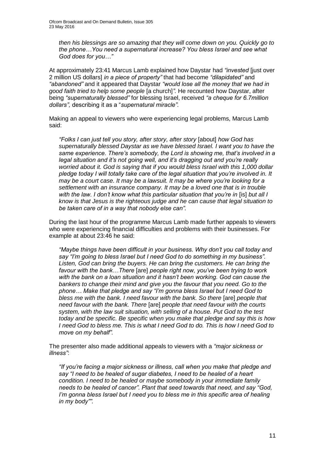*then his blessings are so amazing that they will come down on you. Quickly go to the phone…You need a supernatural increase? You bless Israel and see what God does for you…"*

At approximately 23:41 Marcus Lamb explained how Daystar had *"invested* [just over 2 million US dollars] *in a piece of property"* that had become *"dilapidated"* and *"abandoned"* and it appeared that Daystar *"would lose all the money that we had in good faith tried to help some people* [a church]*".* He recounted how Daystar, after being *"supernaturally blessed"* for blessing Israel, received *"a cheque for 6.7million dollars",* describing it as a "*supernatural miracle".*

Making an appeal to viewers who were experiencing legal problems, Marcus Lamb said:

*"Folks I can just tell you story, after story, after story* [about] *how God has supernaturally blessed Daystar as we have blessed Israel. I want you to have the same experience. There's somebody, the Lord is showing me, that's involved in a legal situation and it's not going well, and it's dragging out and you're really worried about it. God is saying that if you would bless Israel with this 1,000 dollar pledge today I will totally take care of the legal situation that you're involved in. It may be a court case. It may be a lawsuit. It may be where you're looking for a settlement with an insurance company. It may be a loved one that is in trouble with the law. I don't know what this particular situation that you're in [is] but all I know is that Jesus is the righteous judge and he can cause that legal situation to be taken care of in a way that nobody else can".*

During the last hour of the programme Marcus Lamb made further appeals to viewers who were experiencing financial difficulties and problems with their businesses. For example at about 23:46 he said:

*"Maybe things have been difficult in your business. Why don't you call today and say "I'm going to bless Israel but I need God to do something in my business". Listen, God can bring the buyers. He can bring the customers. He can bring the favour with the bank…There* [are] *people right now, you've been trying to work with the bank on a loan situation and it hasn't been working. God can cause the bankers to change their mind and give you the favour that you need. Go to the phone… Make that pledge and say "I'm gonna bless Israel but I need God to bless me with the bank. I need favour with the bank. So there* [are] *people that need favour with the bank. There* [are] *people that need favour with the courts system, with the law suit situation, with selling of a house. Put God to the test today and be specific. Be specific when you make that pledge and say this is how I need God to bless me. This is what I need God to do. This is how I need God to move on my behalf".*

The presenter also made additional appeals to viewers with a *"major sickness or illness"*:

*"If you're facing a major sickness or illness, call when you make that pledge and say "I need to be healed of sugar diabetes, I need to be healed of a heart condition. I need to be healed or maybe somebody in your immediate family needs to be healed of cancer". Plant that seed towards that need, and say "God, I'm gonna bless Israel but I need you to bless me in this specific area of healing in my body"".*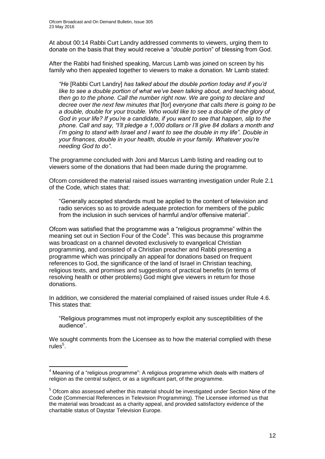At about 00:14 Rabbi Curt Landry addressed comments to viewers, urging them to donate on the basis that they would receive a "*double portion*" of blessing from God.

After the Rabbi had finished speaking, Marcus Lamb was joined on screen by his family who then appealed together to viewers to make a donation. Mr Lamb stated:

*"He* [Rabbi Curt Landry] *has talked about the double portion today and if you'd like to see a double portion of what we've been talking about, and teaching about, then go to the phone. Call the number right now. We are going to declare and decree over the next few minutes that* [for] *everyone that calls there is going to be a double, double for your trouble. Who would like to see a double of the glory of God in your life? If you're a candidate, if you want to see that happen, slip to the phone. Call and say, "I'll pledge a 1,000 dollars or I'll give 84 dollars a month and I'm going to stand with Israel and I want to see the double in my life". Double in your finances, double in your health, double in your family. Whatever you're needing God to do"*.

The programme concluded with Joni and Marcus Lamb listing and reading out to viewers some of the donations that had been made during the programme.

Ofcom considered the material raised issues warranting investigation under Rule 2.1 of the Code, which states that:

"Generally accepted standards must be applied to the content of television and radio services so as to provide adequate protection for members of the public from the inclusion in such services of harmful and/or offensive material".

Ofcom was satisfied that the programme was a "religious programme" within the meaning set out in Section Four of the Code<sup>4</sup>. This was because this programme was broadcast on a channel devoted exclusively to evangelical Christian programming, and consisted of a Christian preacher and Rabbi presenting a programme which was principally an appeal for donations based on frequent references to God, the significance of the land of Israel in Christian teaching, religious texts, and promises and suggestions of practical benefits (in terms of resolving health or other problems) God might give viewers in return for those donations.

In addition, we considered the material complained of raised issues under Rule 4.6. This states that:

"Religious programmes must not improperly exploit any susceptibilities of the audience".

We sought comments from the Licensee as to how the material complied with these rules<sup>5</sup>.

1

<sup>4</sup> Meaning of a "religious programme": A religious programme which deals with matters of religion as the central subject, or as a significant part, of the programme.

<sup>&</sup>lt;sup>5</sup> Ofcom also assessed whether this material should be investigated under Section Nine of the Code (Commercial References in Television Programming). The Licensee informed us that the material was broadcast as a charity appeal, and provided satisfactory evidence of the charitable status of Daystar Television Europe.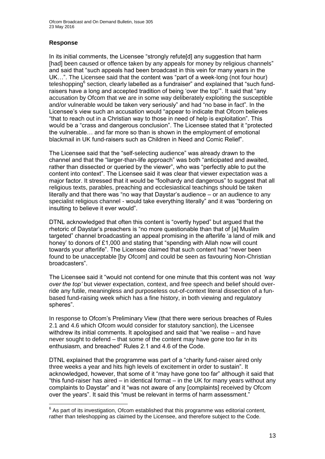Ofcom Broadcast and On Demand Bulletin, Issue 305 23 May 2016

### **Response**

In its initial comments, the Licensee "strongly refute[d] any suggestion that harm [had] been caused or offence taken by any appeals for money by religious channels" and said that "such appeals had been broadcast in this vein for many years in the UK…". The Licensee said that the content was "part of a week-long (not four hour) teleshopping<sup>6</sup> section, clearly labelled as a fundraiser" and explained that "such fundraisers have a long and accepted tradition of being 'over the top'". It said that "any accusation by Ofcom that we are in some way deliberately exploiting the susceptible and/or vulnerable would be taken very seriously" and had "no base in fact". In the Licensee's view such an accusation would "appear to indicate that Ofcom believes "that to reach out in a Christian way to those in need of help is exploitation". This would be a "crass and dangerous conclusion". The Licensee stated that it "protected the vulnerable… and far more so than is shown in the employment of emotional blackmail in UK fund-raisers such as Children in Need and Comic Relief".

The Licensee said that the "self-selecting audience" was already drawn to the channel and that the "larger-than-life approach" was both "anticipated and awaited, rather than dissected or queried by the viewer", who was "perfectly able to put the content into context". The Licensee said it was clear that viewer expectation was a major factor. It stressed that it would be "foolhardy and dangerous" to suggest that all religious texts, parables, preaching and ecclesiastical teachings should be taken literally and that there was "no way that Daystar's audience – or an audience to any specialist religious channel - would take everything literally" and it was "bordering on insulting to believe it ever would".

DTNL acknowledged that often this content is "overtly hyped" but argued that the rhetoric of Daystar's preachers is "no more questionable than that of [a] Muslim targeted" channel broadcasting an appeal promising in the afterlife 'a land of milk and honey' to donors of £1,000 and stating that "spending with Allah now will count towards your afterlife". The Licensee claimed that such content had "never been found to be unacceptable [by Ofcom] and could be seen as favouring Non-Christian broadcasters".

The Licensee said it "would not contend for one minute that this content was not *'way over the top'* but viewer expectation, context, and free speech and belief should override any futile, meaningless and purposeless out-of-context literal dissection of a funbased fund-raising week which has a fine history, in both viewing and regulatory spheres".

In response to Ofcom's Preliminary View (that there were serious breaches of Rules 2.1 and 4.6 which Ofcom would consider for statutory sanction), the Licensee withdrew its initial comments. It apologised and said that "we realise – and have never sought to defend – that some of the content may have gone too far in its enthusiasm, and breached" Rules 2.1 and 4.6 of the Code.

DTNL explained that the programme was part of a "charity fund-raiser aired only three weeks a year and hits high levels of excitement in order to sustain". It acknowledged, however, that some of it "may have gone too far" although it said that "this fund-raiser has aired – in identical format – in the UK for many years without any complaints to Daystar" and it "was not aware of any [complaints] received by Ofcom over the years". It said this "must be relevant in terms of harm assessment."

 6 As part of its investigation, Ofcom established that this programme was editorial content, rather than teleshopping as claimed by the Licensee, and therefore subject to the Code.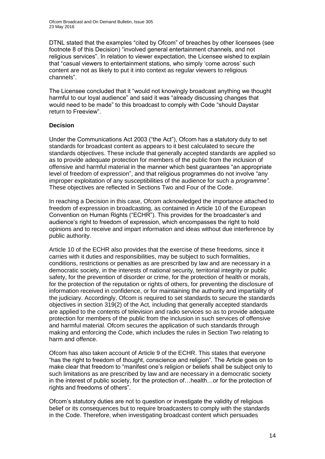DTNL stated that the examples "cited by Ofcom" of breaches by other licensees (see footnote 8 of this Decision) "involved general entertainment channels, and not religious services". In relation to viewer expectation, the Licensee wished to explain that "casual viewers to entertainment stations, who simply 'come across' such content are not as likely to put it into context as regular viewers to religious channels".

The Licensee concluded that it "would not knowingly broadcast anything we thought harmful to our loyal audience" and said it was "already discussing changes that would need to be made" to this broadcast to comply with Code "should Daystar return to Freeview".

### **Decision**

Under the Communications Act 2003 ("the Act"), Ofcom has a statutory duty to set standards for broadcast content as appears to it best calculated to secure the standards objectives. These include that generally accepted standards are applied so as to provide adequate protection for members of the public from the inclusion of offensive and harmful material in the manner which best guarantees "an appropriate level of freedom of expression", and that religious programmes do not involve "any improper exploitation of any susceptibilities of the audience for such a *programme".*  These objectives are reflected in Sections Two and Four of the Code.

In reaching a Decision in this case, Ofcom acknowledged the importance attached to freedom of expression in broadcasting, as contained in Article 10 of the European Convention on Human Rights ("ECHR"). This provides for the broadcaster's and audience's right to freedom of expression, which encompasses the right to hold opinions and to receive and impart information and ideas without due interference by public authority.

Article 10 of the ECHR also provides that the exercise of these freedoms, since it carries with it duties and responsibilities, may be subject to such formalities, conditions, restrictions or penalties as are prescribed by law and are necessary in a democratic society, in the interests of national security, territorial integrity or public safety, for the prevention of disorder or crime, for the protection of health or morals, for the protection of the reputation or rights of others, for preventing the disclosure of information received in confidence, or for maintaining the authority and impartiality of the judiciary. Accordingly, Ofcom is required to set standards to secure the standards objectives in section 319(2) of the Act, including that generally accepted standards are applied to the contents of television and radio services so as to provide adequate protection for members of the public from the inclusion in such services of offensive and harmful material. Ofcom secures the application of such standards through making and enforcing the Code, which includes the rules in Section Two relating to harm and offence.

Ofcom has also taken account of Article 9 of the ECHR. This states that everyone "has the right to freedom of thought, conscience and religion". The Article goes on to make clear that freedom to "manifest one's religion or beliefs shall be subject only to such limitations as are prescribed by law and are necessary in a democratic society in the interest of public society, for the protection of…health…or for the protection of rights and freedoms of others".

Ofcom's statutory duties are not to question or investigate the validity of religious belief or its consequences but to require broadcasters to comply with the standards in the Code. Therefore, when investigating broadcast content which persuades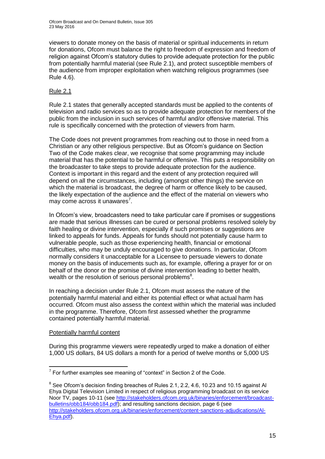viewers to donate money on the basis of material or spiritual inducements in return for donations, Ofcom must balance the right to freedom of expression and freedom of religion against Ofcom's statutory duties to provide adequate protection for the public from potentially harmful material (see Rule 2.1), and protect susceptible members of the audience from improper exploitation when watching religious programmes (see Rule 4.6).

### Rule 2.1

Rule 2.1 states that generally accepted standards must be applied to the contents of television and radio services so as to provide adequate protection for members of the public from the inclusion in such services of harmful and/or offensive material. This rule is specifically concerned with the protection of viewers from harm.

The Code does not prevent programmes from reaching out to those in need from a Christian or any other religious perspective. But as Ofcom's guidance on Section Two of the Code makes clear, we recognise that some programming may include material that has the potential to be harmful or offensive. This puts a responsibility on the broadcaster to take steps to provide adequate protection for the audience. Context is important in this regard and the extent of any protection required will depend on all the circumstances, including (amongst other things) the service on which the material is broadcast, the degree of harm or offence likely to be caused, the likely expectation of the audience and the effect of the material on viewers who may come across it unawares<sup>7</sup>.

In Ofcom's view, broadcasters need to take particular care if promises or suggestions are made that serious illnesses can be cured or personal problems resolved solely by faith healing or divine intervention, especially if such promises or suggestions are linked to appeals for funds. Appeals for funds should not potentially cause harm to vulnerable people, such as those experiencing health, financial or emotional difficulties, who may be unduly encouraged to give donations. In particular, Ofcom normally considers it unacceptable for a Licensee to persuade viewers to donate money on the basis of inducements such as, for example, offering a prayer for or on behalf of the donor or the promise of divine intervention leading to better health, wealth or the resolution of serious personal problems $8$ .

In reaching a decision under Rule 2.1, Ofcom must assess the nature of the potentially harmful material and either its potential effect or what actual harm has occurred. Ofcom must also assess the context within which the material was included in the programme. Therefore, Ofcom first assessed whether the programme contained potentially harmful material.

### Potentially harmful content

During this programme viewers were repeatedly urged to make a donation of either 1,000 US dollars, 84 US dollars a month for a period of twelve months or 5,000 US

<sup>1</sup>  $7$  For further examples see meaning of "context" in Section 2 of the Code.

 $8$  See Ofcom's decision finding breaches of Rules 2.1, 2.2, 4.6, 10.23 and 10.15 against Al Ehya Digital Television Limited in respect of religious programming broadcast on its service Noor TV, pages 10-11 (see [http://stakeholders.ofcom.org.uk/binaries/enforcement/broadcast](http://stakeholders.ofcom.org.uk/binaries/enforcement/broadcast-bulletins/obb184/obb184.pdf)[bulletins/obb184/obb184.pdf\)](http://stakeholders.ofcom.org.uk/binaries/enforcement/broadcast-bulletins/obb184/obb184.pdf); and resulting sanctions decision, page 6 (see [http://stakeholders.ofcom.org.uk/binaries/enforcement/content-sanctions-adjudications/Al-](http://stakeholders.ofcom.org.uk/binaries/enforcement/content-sanctions-adjudications/Al-Ehya.pdf)[Ehya.pdf\)](http://stakeholders.ofcom.org.uk/binaries/enforcement/content-sanctions-adjudications/Al-Ehya.pdf).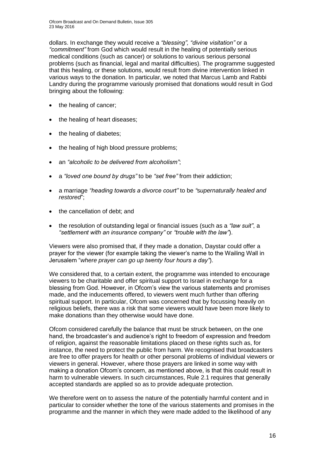dollars. In exchange they would receive a *"blessing", "divine visitation"* or a *"commitment"* from God which would result in the healing of potentially serious medical conditions (such as cancer) or solutions to various serious personal problems (such as financial, legal and marital difficulties). The programme suggested that this healing, or these solutions, would result from divine intervention linked in various ways to the donation. In particular, we noted that Marcus Lamb and Rabbi Landry during the programme variously promised that donations would result in God bringing about the following:

- the healing of cancer;
- the healing of heart diseases:
- the healing of diabetes;
- the healing of high blood pressure problems;
- an *"alcoholic to be delivered from alcoholism"*;
- a *"loved one bound by drugs"* to be *"set free"* from their addiction;
- a marriage *"heading towards a divorce court"* to be *"*s*upernaturally healed and restored*";
- the cancellation of debt; and
- the resolution of outstanding legal or financial issues (such as a *"law suit"*, a *"settlement with an insurance company"* or *"trouble with the law"*).

Viewers were also promised that, if they made a donation, Daystar could offer a prayer for the viewer (for example taking the viewer's name to the Wailing Wall in Jerusalem "*where prayer can go up twenty four hours a day"*).

We considered that, to a certain extent, the programme was intended to encourage viewers to be charitable and offer spiritual support to Israel in exchange for a blessing from God. However, in Ofcom's view the various statements and promises made, and the inducements offered, to viewers went much further than offering spiritual support. In particular, Ofcom was concerned that by focussing heavily on religious beliefs, there was a risk that some viewers would have been more likely to make donations than they otherwise would have done.

Ofcom considered carefully the balance that must be struck between, on the one hand, the broadcaster's and audience's right to freedom of expression and freedom of religion, against the reasonable limitations placed on these rights such as, for instance, the need to protect the public from harm. We recognised that broadcasters are free to offer prayers for health or other personal problems of individual viewers or viewers in general. However, where those prayers are linked in some way with making a donation Ofcom's concern, as mentioned above, is that this could result in harm to vulnerable viewers. In such circumstances, Rule 2.1 requires that generally accepted standards are applied so as to provide adequate protection.

We therefore went on to assess the nature of the potentially harmful content and in particular to consider whether the tone of the various statements and promises in the programme and the manner in which they were made added to the likelihood of any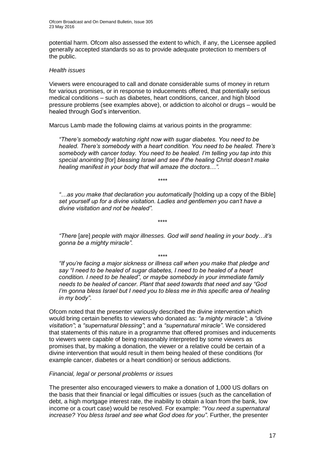potential harm. Ofcom also assessed the extent to which, if any, the Licensee applied generally accepted standards so as to provide adequate protection to members of the public.

#### *Health issues*

Viewers were encouraged to call and donate considerable sums of money in return for various promises, or in response to inducements offered, that potentially serious medical conditions – such as diabetes, heart conditions, cancer, and high blood pressure problems (see examples above), or addiction to alcohol or drugs – would be healed through God's intervention.

Marcus Lamb made the following claims at various points in the programme:

*"There's somebody watching right now with sugar diabetes. You need to be healed. There's somebody with a heart condition. You need to be healed. There's somebody with cancer today. You need to be healed. I'm telling you tap into this special anointing* [for] *blessing Israel and see if the healing Christ doesn't make healing manifest in your body that will amaze the doctors…".*

*\*\*\*\**

*"…as you make that declaration you automatically* [holding up a copy of the Bible] *set yourself up for a divine visitation. Ladies and gentlemen you can't have a divine visitation and not be healed".*

*"There* [are] *people with major illnesses. God will send healing in your body…it's gonna be a mighty miracle".*

*\*\*\*\**

\*\*\*\*

*"If you're facing a major sickness or illness call when you make that pledge and say "I need to be healed of sugar diabetes, I need to be healed of a heart condition. I need to be healed", or maybe somebody in your immediate family needs to be healed of cancer. Plant that seed towards that need and say "God I'm gonna bless Israel but I need you to bless me in this specific area of healing in my body"*.

Ofcom noted that the presenter variously described the divine intervention which would bring certain benefits to viewers who donated as: *"a mighty miracle"*; a *"divine visitation"*; a *"supernatural blessing"*; and a *"supernatural miracle"*. We considered that statements of this nature in a programme that offered promises and inducements to viewers were capable of being reasonably interpreted by some viewers as promises that, by making a donation, the viewer or a relative could be certain of a divine intervention that would result in them being healed of these conditions (for example cancer, diabetes or a heart condition) or serious addictions.

### *Financial, legal or personal problems or issues*

The presenter also encouraged viewers to make a donation of 1,000 US dollars on the basis that their financial or legal difficulties or issues (such as the cancellation of debt, a high mortgage interest rate, the inability to obtain a loan from the bank, low income or a court case) would be resolved. For example: *"You need a supernatural increase? You bless Israel and see what God does for you"*. Further, the presenter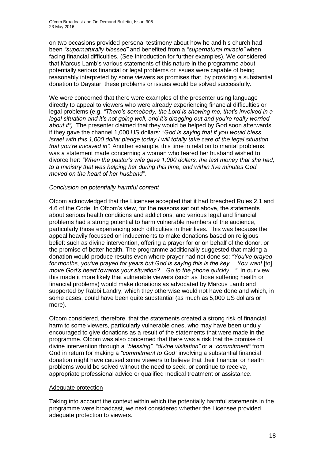on two occasions provided personal testimony about how he and his church had been *"supernaturally blessed"* and benefited from a *"supernatural miracle"* when facing financial difficulties. (See Introduction for further examples). We considered that Marcus Lamb's various statements of this nature in the programme about potentially serious financial or legal problems or issues were capable of being reasonably interpreted by some viewers as promises that, by providing a substantial donation to Daystar, these problems or issues would be solved successfully.

We were concerned that there were examples of the presenter using language directly to appeal to viewers who were already experiencing financial difficulties or legal problems (e.g. *"There's somebody, the Lord is showing me, that's involved in a legal situation and it's not going well, and it's dragging out and you're really worried about it").* The presenter claimed that they would be helped by God soon afterwards if they gave the channel 1,000 US dollars: *"God is saying that if you would bless Israel with this 1,000 dollar pledge today I will totally take care of the legal situation that you're involved in".* Another example, this time in relation to marital problems, was a statement made concerning a woman who feared her husband wished to divorce her: *"When the pastor's wife gave 1,000 dollars, the last money that she had, to a ministry that was helping her during this time, and within five minutes God moved on the heart of her husband"*.

### *Conclusion on potentially harmful content*

Ofcom acknowledged that the Licensee accepted that it had breached Rules 2.1 and 4.6 of the Code. In Ofcom's view, for the reasons set out above, the statements about serious health conditions and addictions, and various legal and financial problems had a strong potential to harm vulnerable members of the audience, particularly those experiencing such difficulties in their lives. This was because the appeal heavily focussed on inducements to make donations based on religious belief: such as divine intervention, offering a prayer for or on behalf of the donor, or the promise of better health. The programme additionally suggested that making a donation would produce results even where prayer had not done so: *"You've prayed for months, you've prayed for years but God is saying this is the key... You want* [to] *move God's heart towards your situation?…Go to the phone quickly…".* In our view this made it more likely that vulnerable viewers (such as those suffering health or financial problems) would make donations as advocated by Marcus Lamb and supported by Rabbi Landry, which they otherwise would not have done and which, in some cases, could have been quite substantial (as much as 5,000 US dollars or more).

Ofcom considered, therefore, that the statements created a strong risk of financial harm to some viewers, particularly vulnerable ones, who may have been unduly encouraged to give donations as a result of the statements that were made in the programme. Ofcom was also concerned that there was a risk that the promise of divine intervention through a *"blessing"*, *"divine visitation"* or a *"commitment"* from God in return for making a *"commitment to God"* involving a substantial financial donation might have caused some viewers to believe that their financial or health problems would be solved without the need to seek, or continue to receive, appropriate professional advice or qualified medical treatment or assistance.

#### Adequate protection

Taking into account the context within which the potentially harmful statements in the programme were broadcast, we next considered whether the Licensee provided adequate protection to viewers.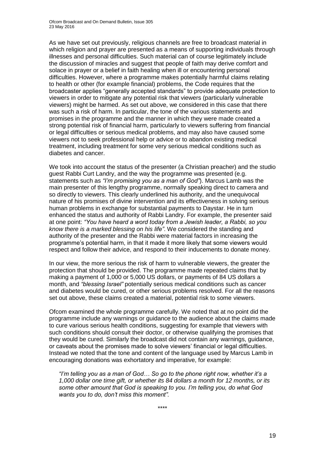As we have set out previously, religious channels are free to broadcast material in which religion and prayer are presented as a means of supporting individuals through illnesses and personal difficulties. Such material can of course legitimately include the discussion of miracles and suggest that people of faith may derive comfort and solace in prayer or a belief in faith healing when ill or encountering personal difficulties. However, where a programme makes potentially harmful claims relating to health or other (for example financial) problems, the Code requires that the broadcaster applies "generally accepted standards" to provide adequate protection to viewers in order to mitigate any potential risk that viewers (particularly vulnerable viewers) might be harmed. As set out above, we considered in this case that there was such a risk of harm. In particular, the tone of the various statements and promises in the programme and the manner in which they were made created a strong potential risk of financial harm, particularly to viewers suffering from financial or legal difficulties or serious medical problems, and may also have caused some viewers not to seek professional help or advice or to abandon existing medical treatment, including treatment for some very serious medical conditions such as diabetes and cancer.

We took into account the status of the presenter (a Christian preacher) and the studio guest Rabbi Curt Landry, and the way the programme was presented (e.g. statements such as *"I'm promising you as a man of God"*). Marcus Lamb was the main presenter of this lengthy programme, normally speaking direct to camera and so directly to viewers. This clearly underlined his authority, and the unequivocal nature of his promises of divine intervention and its effectiveness in solving serious human problems in exchange for substantial payments to Daystar. He in turn enhanced the status and authority of Rabbi Landry. For example, the presenter said at one point: *"You have heard a word today from a Jewish leader, a Rabbi, so you know there is a marked blessing on his life"*. We considered the standing and authority of the presenter and the Rabbi were material factors in increasing the programme's potential harm, in that it made it more likely that some viewers would respect and follow their advice, and respond to their inducements to donate money.

In our view, the more serious the risk of harm to vulnerable viewers, the greater the protection that should be provided. The programme made repeated claims that by making a payment of 1,000 or 5,000 US dollars, or payments of 84 US dollars a month, and *"blessing Israel"* potentially serious medical conditions such as cancer and diabetes would be cured, or other serious problems resolved. For all the reasons set out above, these claims created a material, potential risk to some viewers.

Ofcom examined the whole programme carefully. We noted that at no point did the programme include any warnings or guidance to the audience about the claims made to cure various serious health conditions, suggesting for example that viewers with such conditions should consult their doctor, or otherwise qualifying the promises that they would be cured. Similarly the broadcast did not contain any warnings, guidance, or caveats about the promises made to solve viewers' financial or legal difficulties. Instead we noted that the tone and content of the language used by Marcus Lamb in encouraging donations was exhortatory and imperative, for example:

*"I'm telling you as a man of God… So go to the phone right now, whether it's a 1,000 dollar one time gift, or whether its 84 dollars a month for 12 months, or its some other amount that God is speaking to you. I'm telling you, do what God wants you to do, don't miss this moment".*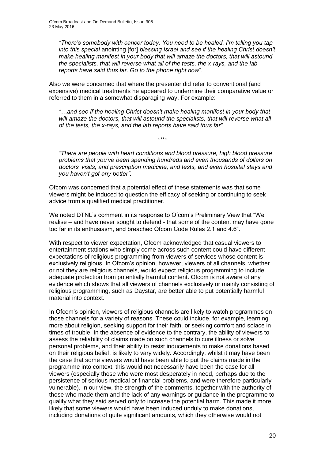*"There's somebody with cancer today. You need to be healed. I'm telling you tap into this special* anointing [for] *blessing Israel and see if the healing Christ doesn't make healing manifest in your body that will amaze the doctors, that will astound the specialists, that will reverse what all of the tests, the x-rays, and the lab reports have said thus far. Go to the phone right now*".

Also we were concerned that where the presenter did refer to conventional (and expensive) medical treatments he appeared to undermine their comparative value or referred to them in a somewhat disparaging way. For example:

*"…and see if the healing Christ doesn't make healing manifest in your body that will amaze the doctors, that will astound the specialists, that will reverse what all of the tests, the x-rays, and the lab reports have said thus far".*

\*\*\*\*

*"There are people with heart conditions and blood pressure, high blood pressure problems that you've been spending hundreds and even thousands of dollars on doctors' visits, and prescription medicine, and tests, and even hospital stays and you haven't got any better".*

Ofcom was concerned that a potential effect of these statements was that some viewers might be induced to question the efficacy of seeking or continuing to seek advice from a qualified medical practitioner.

We noted DTNL's comment in its response to Ofcom's Preliminary View that "We realise – and have never sought to defend - that some of the content may have gone too far in its enthusiasm, and breached Ofcom Code Rules 2.1 and 4.6".

With respect to viewer expectation, Ofcom acknowledged that casual viewers to entertainment stations who simply come across such content could have different expectations of religious programming from viewers of services whose content is exclusively religious. In Ofcom's opinion, however, viewers of all channels, whether or not they are religious channels, would expect religious programming to include adequate protection from potentially harmful content. Ofcom is not aware of any evidence which shows that all viewers of channels exclusively or mainly consisting of religious programming, such as Daystar, are better able to put potentially harmful material into context.

In Ofcom's opinion, viewers of religious channels are likely to watch programmes on those channels for a variety of reasons. These could include, for example, learning more about religion, seeking support for their faith, or seeking comfort and solace in times of trouble. In the absence of evidence to the contrary, the ability of viewers to assess the reliability of claims made on such channels to cure illness or solve personal problems, and their ability to resist inducements to make donations based on their religious belief, is likely to vary widely. Accordingly, whilst it may have been the case that some viewers would have been able to put the claims made in the programme into context, this would not necessarily have been the case for all viewers (especially those who were most desperately in need, perhaps due to the persistence of serious medical or financial problems, and were therefore particularly vulnerable). In our view, the strength of the comments, together with the authority of those who made them and the lack of any warnings or guidance in the programme to qualify what they said served only to increase the potential harm. This made it more likely that some viewers would have been induced unduly to make donations, including donations of quite significant amounts, which they otherwise would not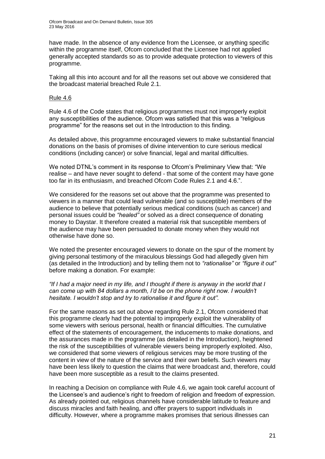have made. In the absence of any evidence from the Licensee, or anything specific within the programme itself, Ofcom concluded that the Licensee had not applied generally accepted standards so as to provide adequate protection to viewers of this programme.

Taking all this into account and for all the reasons set out above we considered that the broadcast material breached Rule 2.1.

#### Rule 4.6

Rule 4.6 of the Code states that religious programmes must not improperly exploit any susceptibilities of the audience. Ofcom was satisfied that this was a "religious programme" for the reasons set out in the Introduction to this finding.

As detailed above, this programme encouraged viewers to make substantial financial donations on the basis of promises of divine intervention to cure serious medical conditions (including cancer) or solve financial, legal and marital difficulties.

We noted DTNL's comment in its response to Ofcom's Preliminary View that: "We realise – and have never sought to defend - that some of the content may have gone too far in its enthusiasm, and breached Ofcom Code Rules 2.1 and 4.6.".

We considered for the reasons set out above that the programme was presented to viewers in a manner that could lead vulnerable (and so susceptible) members of the audience to believe that potentially serious medical conditions (such as cancer) and personal issues could be *"healed"* or solved as a direct consequence of donating money to Daystar. It therefore created a material risk that susceptible members of the audience may have been persuaded to donate money when they would not otherwise have done so.

We noted the presenter encouraged viewers to donate on the spur of the moment by giving personal testimony of the miraculous blessings God had allegedly given him (as detailed in the Introduction) and by telling them not to *"rationalise"* or *"figure it out"*  before making a donation. For example:

*"If I had a major need in my life, and I thought if there is anyway in the world that I can come up with 84 dollars a month, I'd be on the phone right now. I wouldn't hesitate. I wouldn't stop and try to rationalise it and figure it out".*

For the same reasons as set out above regarding Rule 2.1, Ofcom considered that this programme clearly had the potential to improperly exploit the vulnerability of some viewers with serious personal, health or financial difficulties. The cumulative effect of the statements of encouragement, the inducements to make donations, and the assurances made in the programme (as detailed in the Introduction), heightened the risk of the susceptibilities of vulnerable viewers being improperly exploited. Also, we considered that some viewers of religious services may be more trusting of the content in view of the nature of the service and their own beliefs. Such viewers may have been less likely to question the claims that were broadcast and, therefore, could have been more susceptible as a result to the claims presented.

In reaching a Decision on compliance with Rule 4.6, we again took careful account of the Licensee's and audience's right to freedom of religion and freedom of expression. As already pointed out, religious channels have considerable latitude to feature and discuss miracles and faith healing, and offer prayers to support individuals in difficulty. However, where a programme makes promises that serious illnesses can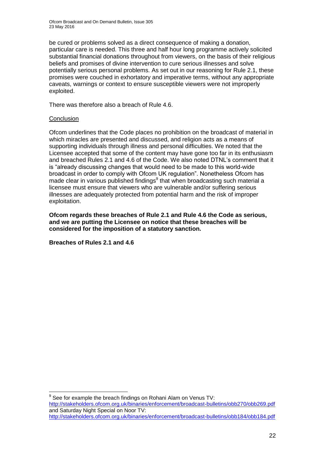be cured or problems solved as a direct consequence of making a donation, particular care is needed. This three and half hour long programme actively solicited substantial financial donations throughout from viewers, on the basis of their religious beliefs and promises of divine intervention to cure serious illnesses and solve potentially serious personal problems. As set out in our reasoning for Rule 2.1, these promises were couched in exhortatory and imperative terms, without any appropriate caveats, warnings or context to ensure susceptible viewers were not improperly exploited.

There was therefore also a breach of Rule 4.6.

### **Conclusion**

Ofcom underlines that the Code places no prohibition on the broadcast of material in which miracles are presented and discussed, and religion acts as a means of supporting individuals through illness and personal difficulties. We noted that the Licensee accepted that some of the content may have gone too far in its enthusiasm and breached Rules 2.1 and 4.6 of the Code. We also noted DTNL's comment that it is "already discussing changes that would need to be made to this world-wide broadcast in order to comply with Ofcom UK regulation". Nonetheless Ofcom has made clear in various published findings<sup>9</sup> that when broadcasting such material a licensee must ensure that viewers who are vulnerable and/or suffering serious illnesses are adequately protected from potential harm and the risk of improper exploitation.

**Ofcom regards these breaches of Rule 2.1 and Rule 4.6 the Code as serious, and we are putting the Licensee on notice that these breaches will be considered for the imposition of a statutory sanction.** 

**Breaches of Rules 2.1 and 4.6**

1  $9$  See for example the breach findings on Rohani Alam on Venus TV:

<http://stakeholders.ofcom.org.uk/binaries/enforcement/broadcast-bulletins/obb270/obb269.pdf> and Saturday Night Special on Noor TV: <http://stakeholders.ofcom.org.uk/binaries/enforcement/broadcast-bulletins/obb184/obb184.pdf>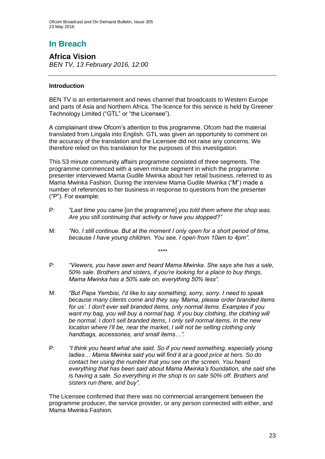# **In Breach**

**Africa Vision** *BEN TV, 13 February 2016, 12:00*

### **Introduction**

BEN TV is an entertainment and news channel that broadcasts to Western Europe and parts of Asia and Northern Africa. The licence for this service is held by Greener Technology Limited ("GTL" or "the Licensee").

A complainant drew Ofcom's attention to this programme. Ofcom had the material translated from Lingala into English. GTL was given an opportunity to comment on the accuracy of the translation and the Licensee did not raise any concerns. We therefore relied on this translation for the purposes of this investigation.

This 53 minute community affairs programme consisted of three segments. The programme commenced with a seven minute segment in which the programme presenter interviewed Mama Gudile Mwinka about her retail business, referred to as Mama Mwinka Fashion. During the interview Mama Gudile Mwinka ("M") made a number of references to her business in response to questions from the presenter ("P"). For example:

- P: *"Last time you came* [on the programme] *you told them where the shop was. Are you still continuing that activity or have you stopped?"*
- M: *"No, I still continue. But at the moment I only open for a short period of time, because I have young children. You see, I open from 10am to 4pm".*
- P: *"Viewers, you have seen and heard Mama Mwinka. She says she has a sale, 50% sale. Brothers and sisters, if you're looking for a place to buy things, Mama Mwinka has a 50% sale on, everything 50% less".*

*\*\*\*\**

- M: *"But Papa Yembisi, I'd like to say something, sorry, sorry. I need to speak because many clients come and they say 'Mama, please order branded items for us'. I don't ever sell branded items, only normal items. Examples if you*  want my bag, you will buy a normal bag. If you buy clothing, the clothing will *be normal. I don't sell branded items, I only sell normal items. In the new location where I'll be, near the market. I will not be selling clothing only handbags, accessories, and small items…".*
- P: *"I think you heard what she said. So if you need something, especially young ladies… Mama Mwinka said you will find it at a good price at hers. So do contact her using the number that you see on the screen. You heard everything that has been said about Mama Mwinka's foundation, she said she is having a sale. So everything in the shop is on sale 50% off. Brothers and sisters run there, and buy".*

The Licensee confirmed that there was no commercial arrangement between the programme producer, the service provider, or any person connected with either, and Mama Mwinka Fashion.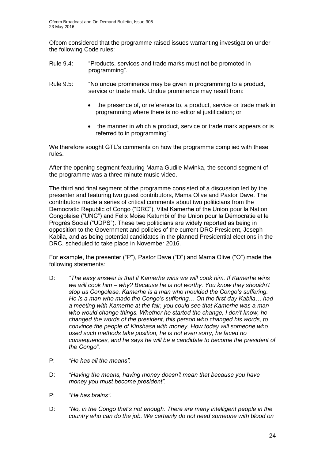Ofcom considered that the programme raised issues warranting investigation under the following Code rules:

- Rule 9.4: "Products, services and trade marks must not be promoted in programming".
- Rule 9.5: "No undue prominence may be given in programming to a product, service or trade mark. Undue prominence may result from:
	- the presence of, or reference to, a product, service or trade mark in programming where there is no editorial justification; or
	- the manner in which a product, service or trade mark appears or is referred to in programming".

We therefore sought GTL's comments on how the programme complied with these rules.

After the opening segment featuring Mama Gudile Mwinka, the second segment of the programme was a three minute music video.

The third and final segment of the programme consisted of a discussion led by the presenter and featuring two guest contributors, Mama Olive and Pastor Dave. The contributors made a series of critical comments about two politicians from the Democratic Republic of Congo ("DRC"), Vital Kamerhe of the Union pour la Nation Congolaise ("UNC") and Felix Moise Katumbi of the Union pour la Démocratie et le Progrès Social ("UDPS"). These two politicians are widely reported as being in opposition to the Government and policies of the current DRC President, Joseph Kabila, and as being potential candidates in the planned Presidential elections in the DRC, scheduled to take place in November 2016.

For example, the presenter ("P"), Pastor Dave ("D") and Mama Olive ("O") made the following statements:

- D: *"The easy answer is that if Kamerhe wins we will cook him. If Kamerhe wins we will cook him – why? Because he is not worthy. You know they shouldn't stop us Congolese. Kamerhe is a man who moulded the Congo's suffering. He is a man who made the Congo's suffering… On the first day Kabila… had a meeting with Kamerhe at the fair, you could see that Kamerhe was a man who would change things. Whether he started the change, I don't know, he changed the words of the president, this person who changed his words, to convince the people of Kinshasa with money. How today will someone who used such methods take position, he is not even sorry, he faced no consequences, and he says he will be a candidate to become the president of the Congo".*
- P: *"He has all the means".*
- D: *"Having the means, having money doesn't mean that because you have money you must become president".*
- P: *"He has brains".*
- D: *"No, in the Congo that's not enough. There are many intelligent people in the country who can do the job. We certainly do not need someone with blood on*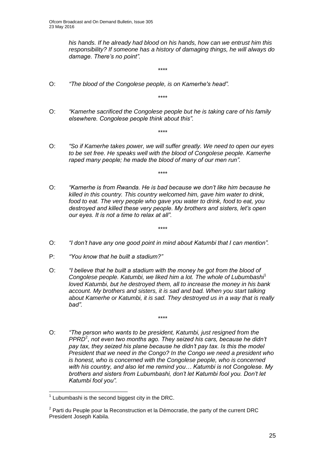*his hands. If he already had blood on his hands, how can we entrust him this responsibility? If someone has a history of damaging things, he will always do damage. There's no point".*

- O: *"The blood of the Congolese people, is on Kamerhe's head".*
- O: *"Kamerhe sacrificed the Congolese people but he is taking care of his family elsewhere. Congolese people think about this".*

*\*\*\*\**

*\*\*\*\**

*\*\*\*\**

O: *"So if Kamerhe takes power, we will suffer greatly. We need to open our eyes to be set free. He speaks well with the blood of Congolese people. Kamerhe raped many people; he made the blood of many of our men run".*

*\*\*\*\**

- O: *"Kamerhe is from Rwanda. He is bad because we don't like him because he killed in this country. This country welcomed him, gave him water to drink, food to eat. The very people who gave you water to drink, food to eat, you destroyed and killed these very people. My brothers and sisters, let's open our eyes. It is not a time to relax at all".*
- O: *"I don't have any one good point in mind about Katumbi that I can mention".*

*\*\*\*\**

- P: *"You know that he built a stadium?"*
- O: *"I believe that he built a stadium with the money he got from the blood of*  Congolese people. Katumbi, we liked him a lot. The whole of Lubumbashi<sup>1</sup> *loved Katumbi, but he destroyed them, all to increase the money in his bank account. My brothers and sisters, it is sad and bad. When you start talking about Kamerhe or Katumbi, it is sad. They destroyed us in a way that is really bad".*

*\*\*\*\**

O: *"The person who wants to be president, Katumbi, just resigned from the*  PPRD<sup>2</sup>, not even two months ago. They seized his cars, because he didn't *pay tax, they seized his plane because he didn't pay tax. Is this the model President that we need in the Congo? In the Congo we need a president who is honest, who is concerned with the Congolese people, who is concerned with his country, and also let me remind you… Katumbi is not Congolese. My brothers and sisters from Lubumbashi, don't let Katumbi fool you. Don't let Katumbi fool you".*

<sup>1</sup>  $1$  Lubumbashi is the second biggest city in the DRC.

 $2$  Parti du Peuple pour la Reconstruction et la Démocratie, the party of the current DRC President Joseph Kabila.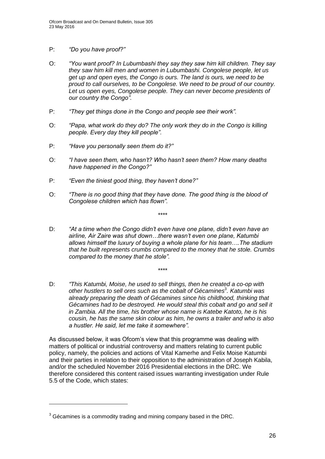- P: *"Do you have proof?"*
- O: *"You want proof? In Lubumbashi they say they saw him kill children. They say they saw him kill men and women in Lubumbashi. Congolese people, let us get up and open eyes, the Congo is ours. The land is ours, we need to be proud to call ourselves, to be Congolese. We need to be proud of our country.*  Let us open eyes, Congolese people. They can never become presidents of *our country the Congo".*
- P: *"They get things done in the Congo and people see their work".*
- O: *"Papa, what work do they do? The only work they do in the Congo is killing people. Every day they kill people".*
- P: *"Have you personally seen them do it?"*
- O: *"I have seen them, who hasn't? Who hasn't seen them? How many deaths have happened in the Congo?"*
- P: *"Even the tiniest good thing, they haven't done?"*
- O: *"There is no good thing that they have done. The good thing is the blood of Congolese children which has flown".*

*\*\*\*\**

D: *"At a time when the Congo didn't even have one plane, didn't even have an airline, Air Zaire was shut down…there wasn't even one plane, Katumbi allows himself the luxury of buying a whole plane for his team….The stadium that he built represents crumbs compared to the money that he stole. Crumbs compared to the money that he stole".*

*\*\*\*\**

D: *"This Katumbi, Moise, he used to sell things, then he created a co-op with other hustlers to sell ores such as the cobalt of Gécamines*<sup>3</sup> *. Katumbi was already preparing the death of Gécamines since his childhood, thinking that Gécamines had to be destroyed. He would steal this cobalt and go and sell it in Zambia. All the time, his brother whose name is Katebe Katoto, he is his cousin, he has the same skin colour as him, he owns a trailer and who is also a hustler. He said, let me take it somewhere".*

As discussed below, it was Ofcom's view that this programme was dealing with matters of political or industrial controversy and matters relating to current public policy, namely, the policies and actions of Vital Kamerhe and Felix Moise Katumbi and their parties in relation to their opposition to the administration of Joseph Kabila, and/or the scheduled November 2016 Presidential elections in the DRC. We therefore considered this content raised issues warranting investigation under Rule 5.5 of the Code, which states:

1

 $3$  Gécamines is a commodity trading and mining company based in the DRC.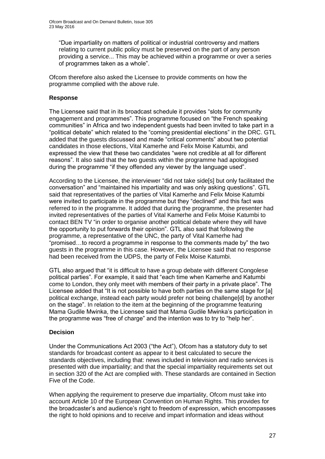"Due impartiality on matters of political or industrial controversy and matters relating to current public policy must be preserved on the part of any person providing a service... This may be achieved within a programme or over a series of programmes taken as a whole".

Ofcom therefore also asked the Licensee to provide comments on how the programme complied with the above rule.

### **Response**

The Licensee said that in its broadcast schedule it provides "slots for community engagement and programmes". This programme focused on "the French speaking communities" in Africa and two independent guests had been invited to take part in a "political debate" which related to the "coming presidential elections" in the DRC. GTL added that the guests discussed and made "critical comments" about two potential candidates in those elections, Vital Kamerhe and Felix Moise Katumbi, and expressed the view that these two candidates "were not credible at all for different reasons". It also said that the two guests within the programme had apologised during the programme "if they offended any viewer by the language used".

According to the Licensee, the interviewer "did not take side[s] but only facilitated the conversation" and "maintained his impartiality and was only asking questions". GTL said that representatives of the parties of Vital Kamerhe and Felix Moise Katumbi were invited to participate in the programme but they "declined" and this fact was referred to in the programme. It added that during the programme, the presenter had invited representatives of the parties of Vital Kamerhe and Felix Moise Katumbi to contact BEN TV "in order to organise another political debate where they will have the opportunity to put forwards their opinion". GTL also said that following the programme, a representative of the UNC, the party of Vital Kamerhe had "promised…to record a programme in response to the comments made by" the two guests in the programme in this case. However, the Licensee said that no response had been received from the UDPS, the party of Felix Moise Katumbi.

GTL also argued that "it is difficult to have a group debate with different Congolese political parties". For example, it said that "each time when Kamerhe and Katumbi come to London, they only meet with members of their party in a private place". The Licensee added that "It is not possible to have both parties on the same stage for [a] political exchange, instead each party would prefer not being challenge[d] by another on the stage". In relation to the item at the beginning of the programme featuring Mama Gudile Mwinka, the Licensee said that Mama Gudile Mwinka's participation in the programme was "free of charge" and the intention was to try to "help her".

### **Decision**

Under the Communications Act 2003 ("the Act"), Ofcom has a statutory duty to set standards for broadcast content as appear to it best calculated to secure the standards objectives, including that: news included in television and radio services is presented with due impartiality; and that the special impartiality requirements set out in section 320 of the Act are complied with. These standards are contained in Section Five of the Code.

When applying the requirement to preserve due impartiality, Ofcom must take into account Article 10 of the European Convention on Human Rights. This provides for the broadcaster's and audience's right to freedom of expression, which encompasses the right to hold opinions and to receive and impart information and ideas without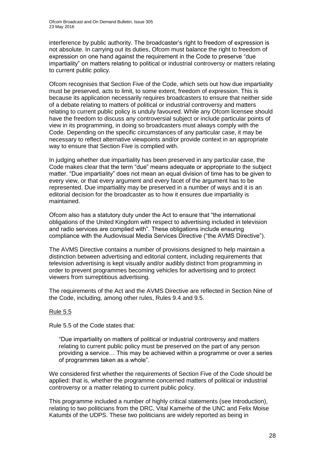interference by public authority. The broadcaster's right to freedom of expression is not absolute. In carrying out its duties, Ofcom must balance the right to freedom of expression on one hand against the requirement in the Code to preserve "due impartiality" on matters relating to political or industrial controversy or matters relating to current public policy.

Ofcom recognises that Section Five of the Code, which sets out how due impartiality must be preserved, acts to limit, to some extent, freedom of expression. This is because its application necessarily requires broadcasters to ensure that neither side of a debate relating to matters of political or industrial controversy and matters relating to current public policy is unduly favoured. While any Ofcom licensee should have the freedom to discuss any controversial subject or include particular points of view in its programming, in doing so broadcasters must always comply with the Code. Depending on the specific circumstances of any particular case, it may be necessary to reflect alternative viewpoints and/or provide context in an appropriate way to ensure that Section Five is complied with.

In judging whether due impartiality has been preserved in any particular case, the Code makes clear that the term "due" means adequate or appropriate to the subject matter. "Due impartiality" does not mean an equal division of time has to be given to every view, or that every argument and every facet of the argument has to be represented. Due impartiality may be preserved in a number of ways and it is an editorial decision for the broadcaster as to how it ensures due impartiality is maintained.

Ofcom also has a statutory duty under the Act to ensure that "the international obligations of the United Kingdom with respect to advertising included in television and radio services are complied with". These obligations include ensuring compliance with the Audiovisual Media Services Directive ("the AVMS Directive").

The AVMS Directive contains a number of provisions designed to help maintain a distinction between advertising and editorial content, including requirements that television advertising is kept visually and/or audibly distinct from programming in order to prevent programmes becoming vehicles for advertising and to protect viewers from surreptitious advertising.

The requirements of the Act and the AVMS Directive are reflected in Section Nine of the Code, including, among other rules, Rules 9.4 and 9.5.

### Rule 5.5

Rule 5.5 of the Code states that:

"Due impartiality on matters of political or industrial controversy and matters relating to current public policy must be preserved on the part of any person providing a service… This may be achieved within a programme or over a series of programmes taken as a whole".

We considered first whether the requirements of Section Five of the Code should be applied: that is, whether the programme concerned matters of political or industrial controversy or a matter relating to current public policy.

This programme included a number of highly critical statements (see Introduction), relating to two politicians from the DRC, Vital Kamerhe of the UNC and Felix Moise Katumbi of the UDPS. These two politicians are widely reported as being in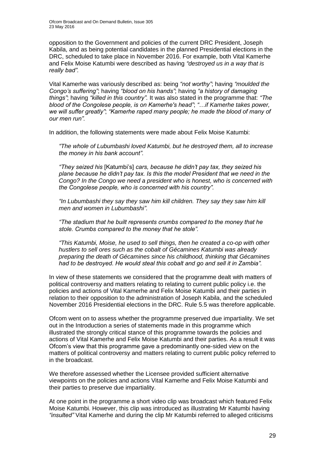opposition to the Government and policies of the current DRC President, Joseph Kabila, and as being potential candidates in the planned Presidential elections in the DRC, scheduled to take place in November 2016. For example, both Vital Kamerhe and Felix Moise Katumbi were described as having *"destroyed us in a way that is really bad".*

Vital Kamerhe was variously described as: being *"not worthy"*; having *"moulded the Congo's suffering"*; having *"blood on his hands"*; having *"a history of damaging things"*; having *"killed in this country".* It was also stated in the programme that: *"The blood of the Congolese people, is on Kamerhe's head"*; *"*…*if Kamerhe takes power, we will suffer greatly"*; *"Kamerhe raped many people; he made the blood of many of our men run".*

In addition, the following statements were made about Felix Moise Katumbi:

*"The whole of Lubumbashi loved Katumbi, but he destroyed them, all to increase the money in his bank account".*

*"They seized his* [Katumbi's] *cars, because he didn't pay tax, they seized his plane because he didn't pay tax. Is this the model President that we need in the Congo? In the Congo we need a president who is honest, who is concerned with the Congolese people, who is concerned with his country".*

*"In Lubumbashi they say they saw him kill children. They say they saw him kill men and women in Lubumbashi".*

*"The stadium that he built represents crumbs compared to the money that he stole. Crumbs compared to the money that he stole".*

*"This Katumbi, Moise, he used to sell things, then he created a co-op with other hustlers to sell ores such as the cobalt of Gécamines Katumbi was already preparing the death of Gécamines since his childhood, thinking that Gécamines had to be destroyed. He would steal this cobalt and go and sell it in Zambia".* 

In view of these statements we considered that the programme dealt with matters of political controversy and matters relating to relating to current public policy i.e. the policies and actions of Vital Kamerhe and Felix Moise Katumbi and their parties in relation to their opposition to the administration of Joseph Kabila, and the scheduled November 2016 Presidential elections in the DRC. Rule 5.5 was therefore applicable.

Ofcom went on to assess whether the programme preserved due impartiality. We set out in the Introduction a series of statements made in this programme which illustrated the strongly critical stance of this programme towards the policies and actions of Vital Kamerhe and Felix Moise Katumbi and their parties. As a result it was Ofcom's view that this programme gave a predominantly one-sided view on the matters of political controversy and matters relating to current public policy referred to in the broadcast.

We therefore assessed whether the Licensee provided sufficient alternative viewpoints on the policies and actions Vital Kamerhe and Felix Moise Katumbi and their parties to preserve due impartiality.

At one point in the programme a short video clip was broadcast which featured Felix Moise Katumbi. However, this clip was introduced as illustrating Mr Katumbi having *"insulted"* Vital Kamerhe and during the clip Mr Katumbi referred to alleged criticisms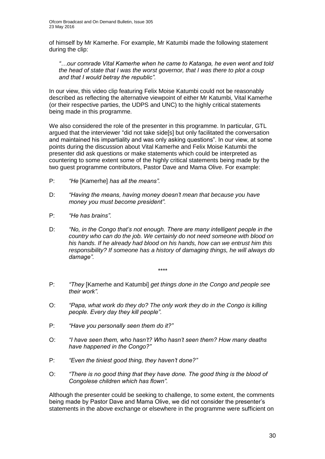of himself by Mr Kamerhe. For example, Mr Katumbi made the following statement during the clip:

*"…our comrade Vital Kamerhe when he came to Katanga, he even went and told the head of state that I was the worst governor, that I was there to plot a coup and that I would betray the republic".*

In our view, this video clip featuring Felix Moise Katumbi could not be reasonably described as reflecting the alternative viewpoint of either Mr Katumbi, Vital Kamerhe (or their respective parties, the UDPS and UNC) to the highly critical statements being made in this programme.

We also considered the role of the presenter in this programme. In particular, GTL argued that the interviewer "did not take side[s] but only facilitated the conversation and maintained his impartiality and was only asking questions". In our view, at some points during the discussion about Vital Kamerhe and Felix Moise Katumbi the presenter did ask questions or make statements which could be interpreted as countering to some extent some of the highly critical statements being made by the two guest programme contributors, Pastor Dave and Mama Olive. For example:

- P: *"He* [Kamerhe] *has all the means".*
- D: *"Having the means, having money doesn't mean that because you have money you must become president".*
- P: *"He has brains".*
- D: *"No, in the Congo that's not enough. There are many intelligent people in the country who can do the job. We certainly do not need someone with blood on his hands. If he already had blood on his hands, how can we entrust him this responsibility? If someone has a history of damaging things, he will always do damage".*
	- *\*\*\*\**
- P: *"They* [Kamerhe and Katumbi] *get things done in the Congo and people see their work".*
- O: *"Papa, what work do they do? The only work they do in the Congo is killing people. Every day they kill people".*
- P: *"Have you personally seen them do it?"*
- O: *"I have seen them, who hasn't? Who hasn't seen them? How many deaths have happened in the Congo?"*
- P: *"Even the tiniest good thing, they haven't done?"*
- O: *"There is no good thing that they have done. The good thing is the blood of Congolese children which has flown".*

Although the presenter could be seeking to challenge, to some extent, the comments being made by Pastor Dave and Mama Olive, we did not consider the presenter's statements in the above exchange or elsewhere in the programme were sufficient on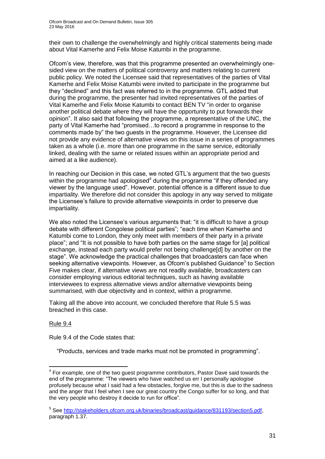their own to challenge the overwhelmingly and highly critical statements being made about Vital Kamerhe and Felix Moise Katumbi in the programme.

Ofcom's view, therefore, was that this programme presented an overwhelmingly onesided view on the matters of political controversy and matters relating to current public policy. We noted the Licensee said that representatives of the parties of Vital Kamerhe and Felix Moise Katumbi were invited to participate in the programme but they "declined" and this fact was referred to in the programme. GTL added that during the programme, the presenter had invited representatives of the parties of Vital Kamerhe and Felix Moise Katumbi to contact BEN TV "in order to organise another political debate where they will have the opportunity to put forwards their opinion". It also said that following the programme, a representative of the UNC, the party of Vital Kamerhe had "promised…to record a programme in response to the comments made by" the two guests in the programme. However, the Licensee did not provide any evidence of alternative views on this issue in a series of programmes taken as a whole (i.e. more than one programme in the same service, editorially linked, dealing with the same or related issues within an appropriate period and aimed at a like audience).

In reaching our Decision in this case, we noted GTL's argument that the two guests within the programme had apologised<sup>4</sup> during the programme "if they offended any viewer by the language used". However, potential offence is a different issue to due impartiality. We therefore did not consider this apology in any way served to mitigate the Licensee's failure to provide alternative viewpoints in order to preserve due impartiality.

We also noted the Licensee's various arguments that: "it is difficult to have a group debate with different Congolese political parties"; "each time when Kamerhe and Katumbi come to London, they only meet with members of their party in a private place"; and "It is not possible to have both parties on the same stage for [a] political exchange, instead each party would prefer not being challenge[d] by another on the stage". We acknowledge the practical challenges that broadcasters can face when seeking alternative viewpoints. However, as Ofcom's published Guidance<sup>5</sup> to Section Five makes clear, if alternative views are not readily available, broadcasters can consider employing various editorial techniques, such as having available interviewees to express alternative views and/or alternative viewpoints being summarised, with due objectivity and in context, within a programme.

Taking all the above into account, we concluded therefore that Rule 5.5 was breached in this case.

### Rule 9.4

1

Rule 9.4 of the Code states that:

"Products, services and trade marks must not be promoted in programming".

 $4$  For example, one of the two guest programme contributors, Pastor Dave said towards the end of the programme: "The viewers who have watched us err I personally apologise profusely because what I said had a few obstacles, forgive me, but this is due to the sadness and the anger that I feel when I see our great country the Congo suffer for so long, and that the very people who destroy it decide to run for office".

<sup>&</sup>lt;sup>5</sup> See [http://stakeholders.ofcom.org.uk/binaries/broadcast/guidance/831193/section5.pdf,](http://stakeholders.ofcom.org.uk/binaries/broadcast/guidance/831193/section5.pdf) paragraph 1.37.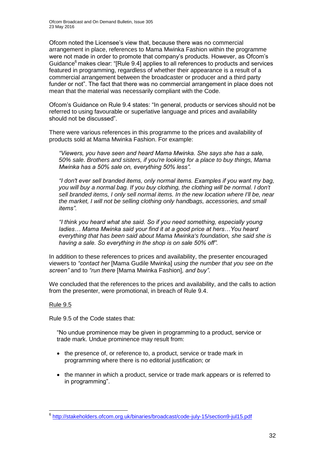Ofcom Broadcast and On Demand Bulletin, Issue 305 23 May 2016

Ofcom noted the Licensee's view that, because there was no commercial arrangement in place, references to Mama Mwinka Fashion within the programme were not made in order to promote that company's products. However, as Ofcom's Guidance<sup>6</sup> makes clear: "[Rule 9.4] applies to all references to products and services featured in programming, regardless of whether their appearance is a result of a commercial arrangement between the broadcaster or producer and a third party funder or not". The fact that there was no commercial arrangement in place does not mean that the material was necessarily compliant with the Code.

Ofcom's Guidance on Rule 9.4 states: "In general, products or services should not be referred to using favourable or superlative language and prices and availability should not be discussed".

There were various references in this programme to the prices and availability of products sold at Mama Mwinka Fashion. For example:

*"Viewers, you have seen and heard Mama Mwinka. She says she has a sale, 50% sale. Brothers and sisters, if you're looking for a place to buy things, Mama Mwinka has a 50% sale on, everything 50% less".*

*"I don't ever sell branded items, only normal items. Examples if you want my bag, you will buy a normal bag. If you buy clothing, the clothing will be normal. I don't sell branded items, I only sell normal items. In the new location where I'll be, near the market, I will not be selling clothing only handbags, accessories, and small items".*

*"I think you heard what she said. So if you need something, especially young ladies… Mama Mwinka said your find it at a good price at hers…You heard everything that has been said about Mama Mwinka's foundation, she said she is having a sale. So everything in the shop is on sale 50% off".*

In addition to these references to prices and availability, the presenter encouraged viewers to *"contact her* [Mama Gudile Mwinka] *using the number that you see on the screen"* and to *"run there* [Mama Mwinka Fashion]*, and buy"*.

We concluded that the references to the prices and availability, and the calls to action from the presenter, were promotional, in breach of Rule 9.4.

### Rule 9.5

Rule 9.5 of the Code states that:

"No undue prominence may be given in programming to a product, service or trade mark. Undue prominence may result from:

- the presence of, or reference to, a product, service or trade mark in programming where there is no editorial justification; or
- the manner in which a product, service or trade mark appears or is referred to in programming".

 6 <http://stakeholders.ofcom.org.uk/binaries/broadcast/code-july-15/section9-jul15.pdf>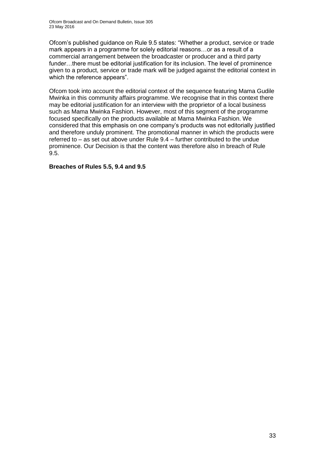Ofcom's published guidance on Rule 9.5 states: "Whether a product, service or trade mark appears in a programme for solely editorial reasons…or as a result of a commercial arrangement between the broadcaster or producer and a third party funder…there must be editorial justification for its inclusion. The level of prominence given to a product, service or trade mark will be judged against the editorial context in which the reference appears".

Ofcom took into account the editorial context of the sequence featuring Mama Gudile Mwinka in this community affairs programme. We recognise that in this context there may be editorial justification for an interview with the proprietor of a local business such as Mama Mwinka Fashion. However, most of this segment of the programme focused specifically on the products available at Mama Mwinka Fashion. We considered that this emphasis on one company's products was not editorially justified and therefore unduly prominent. The promotional manner in which the products were referred to – as set out above under Rule 9.4 – further contributed to the undue prominence. Our Decision is that the content was therefore also in breach of Rule 9.5.

**Breaches of Rules 5.5, 9.4 and 9.5**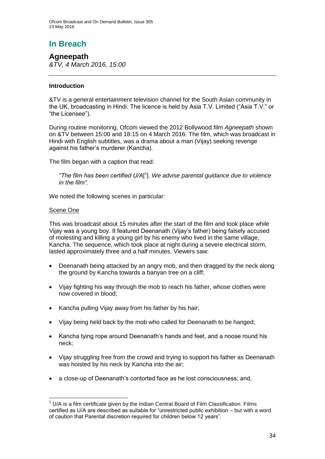# **In Breach**

**Agneepath** *&TV, 4 March 2016, 15:00*

### **Introduction**

&TV is a general entertainment television channel for the South Asian community in the UK, broadcasting in Hindi. The licence is held by Asia T.V. Limited ("Asia T.V." or "the Licensee").

During routine monitoring, Ofcom viewed the 2012 Bollywood film *Agneepath* shown on &TV between 15:00 and 18:15 on 4 March 2016. The film, which was broadcast in Hindi with English subtitles, was a drama about a man (Vijay) seeking revenge against his father's murderer (Kancha).

The film began with a caption that read:

*"The film has been certified U/A*[ 1 ]*. We advise parental guidance due to violence in the film".*

We noted the following scenes in particular:

### Scene One

This was broadcast about 15 minutes after the start of the film and took place while Vijay was a young boy. It featured Deenanath (Vijay's father) being falsely accused of molesting and killing a young girl by his enemy who lived in the same village, Kancha. The sequence, which took place at night during a severe electrical storm, lasted approximately three and a half minutes. Viewers saw:

- Deenanath being attacked by an angry mob, and then dragged by the neck along the ground by Kancha towards a banyan tree on a cliff;
- Vijay fighting his way through the mob to reach his father, whose clothes were now covered in blood;
- Kancha pulling Vijay away from his father by his hair;
- Vijay being held back by the mob who called for Deenanath to be hanged;
- Kancha tying rope around Deenanath's hands and feet, and a noose round his neck;
- Vijay struggling free from the crowd and trying to support his father as Deenanath was hoisted by his neck by Kancha into the air;
- a close-up of Deenanath's contorted face as he lost consciousness; and,

<sup>1</sup>  $<sup>1</sup>$  U/A is a film certificate given by the Indian Central Board of Film Classification. Films</sup> certified as U/A are described as suitable for "unrestricted public exhibition – but with a word of caution that Parental discretion required for children below 12 years".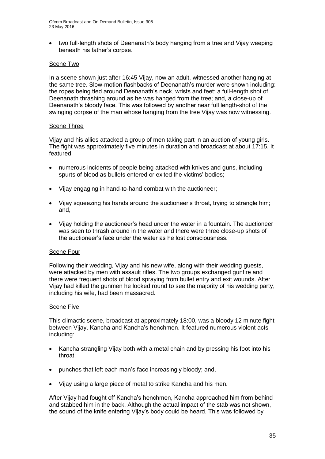two full-length shots of Deenanath's body hanging from a tree and Vijay weeping beneath his father's corpse.

### Scene Two

In a scene shown just after 16:45 Vijay, now an adult, witnessed another hanging at the same tree. Slow-motion flashbacks of Deenanath's murder were shown including: the ropes being tied around Deenanath's neck, wrists and feet; a full-length shot of Deenanath thrashing around as he was hanged from the tree; and, a close-up of Deenanath's bloody face. This was followed by another near full length-shot of the swinging corpse of the man whose hanging from the tree Vijay was now witnessing.

### Scene Three

Vijay and his allies attacked a group of men taking part in an auction of young girls. The fight was approximately five minutes in duration and broadcast at about 17:15. It featured:

- numerous incidents of people being attacked with knives and guns, including spurts of blood as bullets entered or exited the victims' bodies;
- Vijay engaging in hand-to-hand combat with the auctioneer;
- Vijay squeezing his hands around the auctioneer's throat, trying to strangle him; and,
- Vijay holding the auctioneer's head under the water in a fountain. The auctioneer was seen to thrash around in the water and there were three close-up shots of the auctioneer's face under the water as he lost consciousness.

### Scene Four

Following their wedding, Vijay and his new wife, along with their wedding guests, were attacked by men with assault rifles. The two groups exchanged gunfire and there were frequent shots of blood spraying from bullet entry and exit wounds. After Vijay had killed the gunmen he looked round to see the majority of his wedding party, including his wife, had been massacred.

#### Scene Five

This climactic scene, broadcast at approximately 18:00, was a bloody 12 minute fight between Vijay, Kancha and Kancha's henchmen. It featured numerous violent acts including:

- Kancha strangling Vijay both with a metal chain and by pressing his foot into his throat;
- punches that left each man's face increasingly bloody; and,
- Vijay using a large piece of metal to strike Kancha and his men.

After Vijay had fought off Kancha's henchmen, Kancha approached him from behind and stabbed him in the back. Although the actual impact of the stab was not shown, the sound of the knife entering Vijay's body could be heard. This was followed by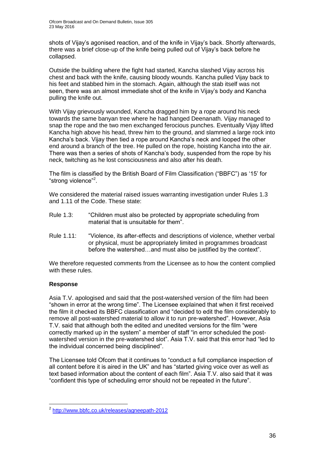shots of Vijay's agonised reaction, and of the knife in Vijay's back. Shortly afterwards, there was a brief close-up of the knife being pulled out of Vijay's back before he collapsed.

Outside the building where the fight had started, Kancha slashed Vijay across his chest and back with the knife, causing bloody wounds. Kancha pulled Vijay back to his feet and stabbed him in the stomach. Again, although the stab itself was not seen, there was an almost immediate shot of the knife in Vijay's body and Kancha pulling the knife out.

With Vijay grievously wounded. Kancha dragged him by a rope around his neck towards the same banyan tree where he had hanged Deenanath. Vijay managed to snap the rope and the two men exchanged ferocious punches. Eventually Vijay lifted Kancha high above his head, threw him to the ground, and slammed a large rock into Kancha's back. Vijay then tied a rope around Kancha's neck and looped the other end around a branch of the tree. He pulled on the rope, hoisting Kancha into the air. There was then a series of shots of Kancha's body, suspended from the rope by his neck, twitching as he lost consciousness and also after his death.

The film is classified by the British Board of Film Classification ("BBFC") as '15' for "strong violence"<sup>2</sup>.

We considered the material raised issues warranting investigation under Rules 1.3 and 1.11 of the Code. These state:

- Rule 1.3: "Children must also be protected by appropriate scheduling from material that is unsuitable for them".
- Rule 1.11: "Violence, its after-effects and descriptions of violence, whether verbal or physical, must be appropriately limited in programmes broadcast before the watershed…and must also be justified by the context".

We therefore requested comments from the Licensee as to how the content complied with these rules.

### **Response**

1

Asia T.V. apologised and said that the post-watershed version of the film had been "shown in error at the wrong time". The Licensee explained that when it first received the film it checked its BBFC classification and "decided to edit the film considerably to remove all post-watershed material to allow it to run pre-watershed". However, Asia T.V. said that although both the edited and unedited versions for the film "were correctly marked up in the system" a member of staff "in error scheduled the postwatershed version in the pre-watershed slot". Asia T.V. said that this error had "led to the individual concerned being disciplined".

The Licensee told Ofcom that it continues to "conduct a full compliance inspection of all content before it is aired in the UK" and has "started giving voice over as well as text based information about the content of each film". Asia T.V. also said that it was "confident this type of scheduling error should not be repeated in the future".

<sup>2</sup> <http://www.bbfc.co.uk/releases/agneepath-2012>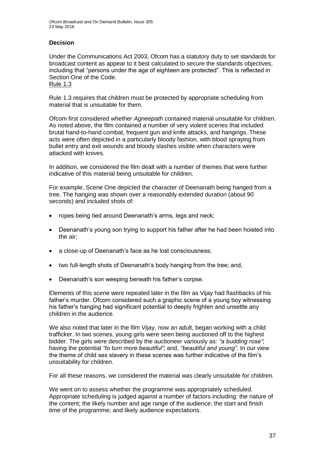### **Decision**

Under the Communications Act 2003, Ofcom has a statutory duty to set standards for broadcast content as appear to it best calculated to secure the standards objectives, including that "persons under the age of eighteen are protected". This is reflected in Section One of the Code. Rule 1.3

Rule 1.3 requires that children must be protected by appropriate scheduling from material that is unsuitable for them.

Ofcom first considered whether *Agneepath* contained material unsuitable for children. As noted above, the film contained a number of very violent scenes that included brutal hand-to-hand combat, frequent gun and knife attacks, and hangings. These acts were often depicted in a particularly bloody fashion, with blood spraying from bullet entry and exit wounds and bloody slashes visible when characters were attacked with knives.

In addition, we considered the film dealt with a number of themes that were further indicative of this material being unsuitable for children.

For example, Scene One depicted the character of Deenanath being hanged from a tree. The hanging was shown over a reasonably extended duration (about 90 seconds) and included shots of:

- ropes being tied around Deenanath's arms, legs and neck:
- Deenanath's young son trying to support his father after he had been hoisted into the air;
- a close-up of Deenanath's face as he lost consciousness;
- two full-length shots of Deenanath's body hanging from the tree; and,
- Deenanath's son weeping beneath his father's corpse.

Elements of this scene were repeated later in the film as Vijay had flashbacks of his father's murder. Ofcom considered such a graphic scene of a young boy witnessing his father's hanging had significant potential to deeply frighten and unsettle any children in the audience.

We also noted that later in the film Vijay, now an adult, began working with a child trafficker. In two scenes, young girls were seen being auctioned off to the highest bidder. The girls were described by the auctioneer variously as: *"a budding rose"*; having the potential *"to turn more beautiful"*; and, *"beautiful and young"*. In our view the theme of child sex slavery in these scenes was further indicative of the film's unsuitability for children.

For all these reasons, we considered the material was clearly unsuitable for children.

We went on to assess whether the programme was appropriately scheduled. Appropriate scheduling is judged against a number of factors including: the nature of the content; the likely number and age range of the audience; the start and finish time of the programme; and likely audience expectations.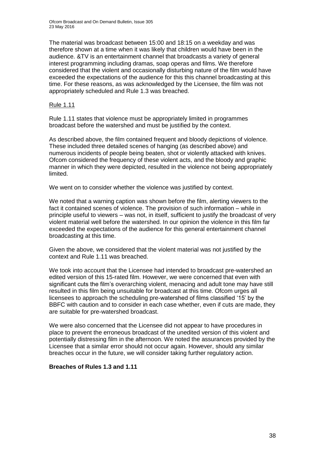The material was broadcast between 15:00 and 18:15 on a weekday and was therefore shown at a time when it was likely that children would have been in the audience. &TV is an entertainment channel that broadcasts a variety of general interest programming including dramas, soap operas and films. We therefore considered that the violent and occasionally disturbing nature of the film would have exceeded the expectations of the audience for this this channel broadcasting at this time. For these reasons, as was acknowledged by the Licensee, the film was not appropriately scheduled and Rule 1.3 was breached.

### Rule 1.11

Rule 1.11 states that violence must be appropriately limited in programmes broadcast before the watershed and must be justified by the context.

As described above, the film contained frequent and bloody depictions of violence. These included three detailed scenes of hanging (as described above) and numerous incidents of people being beaten, shot or violently attacked with knives. Ofcom considered the frequency of these violent acts, and the bloody and graphic manner in which they were depicted, resulted in the violence not being appropriately limited.

We went on to consider whether the violence was justified by context.

We noted that a warning caption was shown before the film, alerting viewers to the fact it contained scenes of violence. The provision of such information – while in principle useful to viewers – was not, in itself, sufficient to justify the broadcast of very violent material well before the watershed. In our opinion the violence in this film far exceeded the expectations of the audience for this general entertainment channel broadcasting at this time.

Given the above, we considered that the violent material was not justified by the context and Rule 1.11 was breached.

We took into account that the Licensee had intended to broadcast pre-watershed an edited version of this 15-rated film. However, we were concerned that even with significant cuts the film's overarching violent, menacing and adult tone may have still resulted in this film being unsuitable for broadcast at this time. Ofcom urges all licensees to approach the scheduling pre-watershed of films classified '15' by the BBFC with caution and to consider in each case whether, even if cuts are made, they are suitable for pre-watershed broadcast.

We were also concerned that the Licensee did not appear to have procedures in place to prevent the erroneous broadcast of the unedited version of this violent and potentially distressing film in the afternoon. We noted the assurances provided by the Licensee that a similar error should not occur again. However, should any similar breaches occur in the future, we will consider taking further regulatory action.

### **Breaches of Rules 1.3 and 1.11**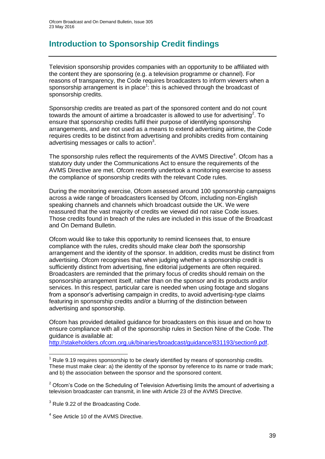# **Introduction to Sponsorship Credit findings**

Television sponsorship provides companies with an opportunity to be affiliated with the content they are sponsoring (e.g. a television programme or channel). For reasons of transparency, the Code requires broadcasters to inform viewers when a sponsorship arrangement is in place<sup>1</sup>: this is achieved through the broadcast of sponsorship credits.

Sponsorship credits are treated as part of the sponsored content and do not count towards the amount of airtime a broadcaster is allowed to use for advertising<sup>2</sup>. To ensure that sponsorship credits fulfil their purpose of identifying sponsorship arrangements, and are not used as a means to extend advertising airtime, the Code requires credits to be distinct from advertising and prohibits credits from containing advertising messages or calls to action<sup>3</sup>.

The sponsorship rules reflect the requirements of the AVMS Directive<sup>4</sup>. Ofcom has a statutory duty under the Communications Act to ensure the requirements of the AVMS Directive are met. Ofcom recently undertook a monitoring exercise to assess the compliance of sponsorship credits with the relevant Code rules.

During the monitoring exercise, Ofcom assessed around 100 sponsorship campaigns across a wide range of broadcasters licensed by Ofcom, including non-English speaking channels and channels which broadcast outside the UK. We were reassured that the vast majority of credits we viewed did not raise Code issues. Those credits found in breach of the rules are included in this issue of the Broadcast and On Demand Bulletin.

Ofcom would like to take this opportunity to remind licensees that, to ensure compliance with the rules, credits should make clear *both* the sponsorship arrangement and the identity of the sponsor. In addition, credits must be distinct from advertising. Ofcom recognises that when judging whether a sponsorship credit is sufficiently distinct from advertising, fine editorial judgements are often required. Broadcasters are reminded that the primary focus of credits should remain on the sponsorship arrangement itself, rather than on the sponsor and its products and/or services. In this respect, particular care is needed when using footage and slogans from a sponsor's advertising campaign in credits, to avoid advertising-type claims featuring in sponsorship credits and/or a blurring of the distinction between advertising and sponsorship.

Ofcom has provided detailed guidance for broadcasters on this issue and on how to ensure compliance with all of the sponsorship rules in Section Nine of the Code. The guidance is available at:

[http://stakeholders.ofcom.org.uk/binaries/broadcast/guidance/831193/section9.pdf.](http://stakeholders.ofcom.org.uk/binaries/broadcast/guidance/831193/section9.pdf)

1

Rule 9.19 requires sponsorship to be clearly identified by means of sponsorship credits. These must make clear: a) the identity of the sponsor by reference to its name or trade mark; and b) the association between the sponsor and the sponsored content.

 $2$  Ofcom's Code on the Scheduling of Television Advertising limits the amount of advertising a television broadcaster can transmit, in line with Article 23 of the AVMS Directive.

<sup>&</sup>lt;sup>3</sup> Rule 9.22 of the Broadcasting Code.

<sup>4</sup> See Article 10 of the AVMS Directive.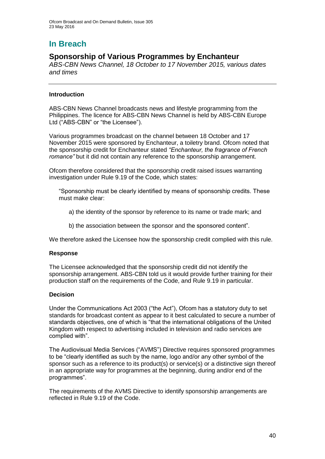# **In Breach**

### **Sponsorship of Various Programmes by Enchanteur**

*ABS-CBN News Channel, 18 October to 17 November 2015, various dates and times*

### **Introduction**

ABS-CBN News Channel broadcasts news and lifestyle programming from the Philippines. The licence for ABS-CBN News Channel is held by ABS-CBN Europe Ltd ("ABS-CBN" or "the Licensee").

Various programmes broadcast on the channel between 18 October and 17 November 2015 were sponsored by Enchanteur, a toiletry brand. Ofcom noted that the sponsorship credit for Enchanteur stated *"Enchanteur, the fragrance of French romance"* but it did not contain any reference to the sponsorship arrangement.

Ofcom therefore considered that the sponsorship credit raised issues warranting investigation under Rule 9.19 of the Code, which states:

- "Sponsorship must be clearly identified by means of sponsorship credits. These must make clear:
	- a) the identity of the sponsor by reference to its name or trade mark; and
	- b) the association between the sponsor and the sponsored content".

We therefore asked the Licensee how the sponsorship credit complied with this rule.

### **Response**

The Licensee acknowledged that the sponsorship credit did not identify the sponsorship arrangement. ABS-CBN told us it would provide further training for their production staff on the requirements of the Code, and Rule 9.19 in particular.

### **Decision**

Under the Communications Act 2003 ("the Act"), Ofcom has a statutory duty to set standards for broadcast content as appear to it best calculated to secure a number of standards objectives, one of which is "that the international obligations of the United Kingdom with respect to advertising included in television and radio services are complied with".

The Audiovisual Media Services ("AVMS") Directive requires sponsored programmes to be "clearly identified as such by the name, logo and/or any other symbol of the sponsor such as a reference to its product(s) or service(s) or a distinctive sign thereof in an appropriate way for programmes at the beginning, during and/or end of the programmes".

The requirements of the AVMS Directive to identify sponsorship arrangements are reflected in Rule 9.19 of the Code.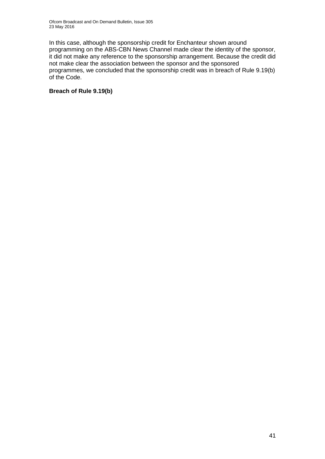In this case, although the sponsorship credit for Enchanteur shown around programming on the ABS-CBN News Channel made clear the identity of the sponsor, it did not make any reference to the sponsorship arrangement. Because the credit did not make clear the association between the sponsor and the sponsored programmes, we concluded that the sponsorship credit was in breach of Rule 9.19(b) of the Code.

### **Breach of Rule 9.19(b)**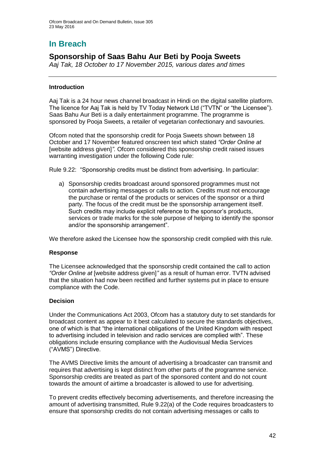# **In Breach**

### **Sponsorship of Saas Bahu Aur Beti by Pooja Sweets**

*Aaj Tak, 18 October to 17 November 2015, various dates and times*

### **Introduction**

Aaj Tak is a 24 hour news channel broadcast in Hindi on the digital satellite platform. The licence for Aaj Tak is held by TV Today Network Ltd ("TVTN" or "the Licensee"). Saas Bahu Aur Beti is a daily entertainment programme. The programme is sponsored by Pooja Sweets, a retailer of vegetarian confectionary and savouries.

Ofcom noted that the sponsorship credit for Pooja Sweets shown between 18 October and 17 November featured onscreen text which stated *"Order Online at*  [website address given]<sup>"</sup>. Ofcom considered this sponsorship credit raised issues warranting investigation under the following Code rule:

Rule 9.22: "Sponsorship credits must be distinct from advertising. In particular:

a) Sponsorship credits broadcast around sponsored programmes must not contain advertising messages or calls to action. Credits must not encourage the purchase or rental of the products or services of the sponsor or a third party. The focus of the credit must be the sponsorship arrangement itself. Such credits may include explicit reference to the sponsor's products, services or trade marks for the sole purpose of helping to identify the sponsor and/or the sponsorship arrangement".

We therefore asked the Licensee how the sponsorship credit complied with this rule.

### **Response**

The Licensee acknowledged that the sponsorship credit contained the call to action *"Order Online at* [website address given]*"* as a result of human error. TVTN advised that the situation had now been rectified and further systems put in place to ensure compliance with the Code.

### **Decision**

Under the Communications Act 2003, Ofcom has a statutory duty to set standards for broadcast content as appear to it best calculated to secure the standards objectives, one of which is that "the international obligations of the United Kingdom with respect to advertising included in television and radio services are complied with". These obligations include ensuring compliance with the Audiovisual Media Services ("AVMS") Directive.

The AVMS Directive limits the amount of advertising a broadcaster can transmit and requires that advertising is kept distinct from other parts of the programme service. Sponsorship credits are treated as part of the sponsored content and do not count towards the amount of airtime a broadcaster is allowed to use for advertising.

To prevent credits effectively becoming advertisements, and therefore increasing the amount of advertising transmitted, Rule 9.22(a) of the Code requires broadcasters to ensure that sponsorship credits do not contain advertising messages or calls to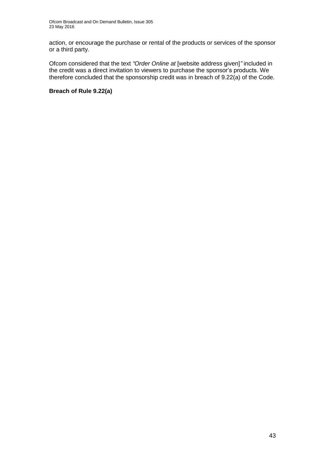action, or encourage the purchase or rental of the products or services of the sponsor or a third party.

Ofcom considered that the text *"Order Online at* [website address given]*"* included in the credit was a direct invitation to viewers to purchase the sponsor's products. We therefore concluded that the sponsorship credit was in breach of 9.22(a) of the Code.

### **Breach of Rule 9.22(a)**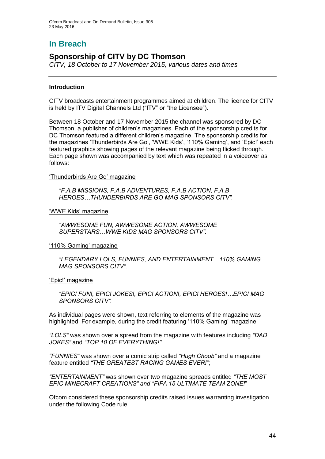### **In Breach**

### **Sponsorship of CITV by DC Thomson**

*CITV, 18 October to 17 November 2015, various dates and times*

### **Introduction**

CITV broadcasts entertainment programmes aimed at children. The licence for CITV is held by ITV Digital Channels Ltd ("ITV" or "the Licensee").

Between 18 October and 17 November 2015 the channel was sponsored by DC Thomson, a publisher of children's magazines. Each of the sponsorship credits for DC Thomson featured a different children's magazine. The sponsorship credits for the magazines 'Thunderbirds Are Go', 'WWE Kids', '110% Gaming', and 'Epic!' each featured graphics showing pages of the relevant magazine being flicked through. Each page shown was accompanied by text which was repeated in a voiceover as follows:

#### 'Thunderbirds Are Go' magazine

*"F.A.B MISSIONS, F.A.B ADVENTURES, F.A.B ACTION, F.A.B HEROES…THUNDERBIRDS ARE GO MAG SPONSORS CITV".*

'WWE Kids' magazine

*"AWWESOME FUN, AWWESOME ACTION, AWWESOME SUPERSTARS…WWE KIDS MAG SPONSORS CITV".*

#### '110% Gaming' magazine

*"LEGENDARY LOLS, FUNNIES, AND ENTERTAINMENT…110% GAMING MAG SPONSORS CITV".*

### 'Epic!' magazine

*"EPIC! FUN!, EPIC! JOKES!, EPIC! ACTION!, EPIC! HEROES!…EPIC! MAG SPONSORS CITV".*

As individual pages were shown, text referring to elements of the magazine was highlighted. For example, during the credit featuring '110% Gaming' magazine:

*"LOLS"* was shown over a spread from the magazine with features including *"DAD JOKES"* and *"TOP 10 OF EVERYTHING!"*;

*"FUNNIES"* was shown over a comic strip called *"Hugh Choob"* and a magazine feature entitled *"THE GREATEST RACING GAMES EVER!"*;

*"ENTERTAINMENT"* was shown over two magazine spreads entitled *"THE MOST EPIC MINECRAFT CREATIONS" and "FIFA 15 ULTIMATE TEAM ZONE!*"

Ofcom considered these sponsorship credits raised issues warranting investigation under the following Code rule: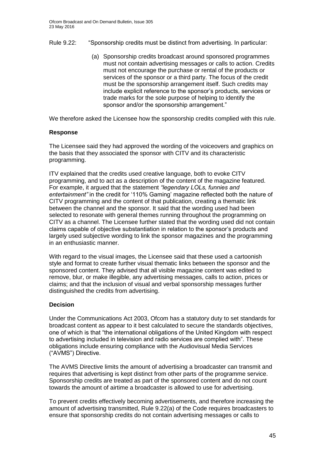- Rule 9.22: "Sponsorship credits must be distinct from advertising. In particular:
	- (a) Sponsorship credits broadcast around sponsored programmes must not contain advertising messages or calls to action. Credits must not encourage the purchase or rental of the products or services of the sponsor or a third party. The focus of the credit must be the sponsorship arrangement itself. Such credits may include explicit reference to the sponsor's products, services or trade marks for the sole purpose of helping to identify the sponsor and/or the sponsorship arrangement."

We therefore asked the Licensee how the sponsorship credits complied with this rule.

### **Response**

The Licensee said they had approved the wording of the voiceovers and graphics on the basis that they associated the sponsor with CITV and its characteristic programming.

ITV explained that the credits used creative language, both to evoke CITV programming, and to act as a description of the content of the magazine featured. For example, it argued that the statement *"legendary LOLs, funnies and entertainment"* in the credit for '110% Gaming' magazine reflected both the nature of CITV programming and the content of that publication, creating a thematic link between the channel and the sponsor. It said that the wording used had been selected to resonate with general themes running throughout the programming on CITV as a channel. The Licensee further stated that the wording used did not contain claims capable of objective substantiation in relation to the sponsor's products and largely used subjective wording to link the sponsor magazines and the programming in an enthusiastic manner.

With regard to the visual images, the Licensee said that these used a cartoonish style and format to create further visual thematic links between the sponsor and the sponsored content. They advised that all visible magazine content was edited to remove, blur, or make illegible, any advertising messages, calls to action, prices or claims; and that the inclusion of visual and verbal sponsorship messages further distinguished the credits from advertising.

### **Decision**

Under the Communications Act 2003, Ofcom has a statutory duty to set standards for broadcast content as appear to it best calculated to secure the standards objectives, one of which is that "the international obligations of the United Kingdom with respect to advertising included in television and radio services are complied with". These obligations include ensuring compliance with the Audiovisual Media Services ("AVMS") Directive.

The AVMS Directive limits the amount of advertising a broadcaster can transmit and requires that advertising is kept distinct from other parts of the programme service. Sponsorship credits are treated as part of the sponsored content and do not count towards the amount of airtime a broadcaster is allowed to use for advertising.

To prevent credits effectively becoming advertisements, and therefore increasing the amount of advertising transmitted, Rule 9.22(a) of the Code requires broadcasters to ensure that sponsorship credits do not contain advertising messages or calls to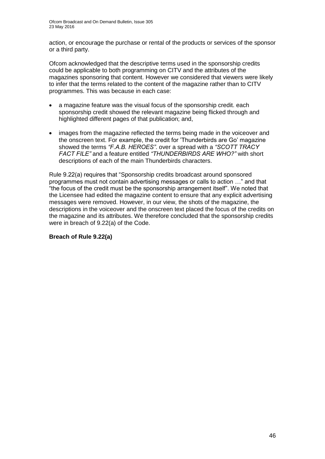action, or encourage the purchase or rental of the products or services of the sponsor or a third party.

Ofcom acknowledged that the descriptive terms used in the sponsorship credits could be applicable to both programming on CITV and the attributes of the magazines sponsoring that content. However we considered that viewers were likely to infer that the terms related to the content of the magazine rather than to CITV programmes. This was because in each case:

- a magazine feature was the visual focus of the sponsorship credit. each sponsorship credit showed the relevant magazine being flicked through and highlighted different pages of that publication; and,
- images from the magazine reflected the terms being made in the voiceover and the onscreen text. For example, the credit for 'Thunderbirds are Go' magazine showed the terms *"F.A.B. HEROES"*. over a spread with a *"SCOTT TRACY FACT FILE"* and a feature entitled *"THUNDERBIRDS ARE WHO?"* with short descriptions of each of the main Thunderbirds characters.

Rule 9.22(a) requires that "Sponsorship credits broadcast around sponsored programmes must not contain advertising messages or calls to action …" and that "the focus of the credit must be the sponsorship arrangement itself". We noted that the Licensee had edited the magazine content to ensure that any explicit advertising messages were removed. However, in our view, the shots of the magazine, the descriptions in the voiceover and the onscreen text placed the focus of the credits on the magazine and its attributes. We therefore concluded that the sponsorship credits were in breach of 9.22(a) of the Code.

### **Breach of Rule 9.22(a)**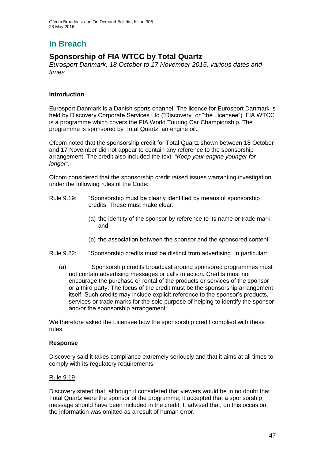# **In Breach**

### **Sponsorship of FIA WTCC by Total Quartz**

*Eurosport Danmark, 18 October to 17 November 2015, various dates and times*

### **Introduction**

Eurosport Danmark is a Danish sports channel. The licence for Eurosport Danmark is held by Discovery Corporate Services Ltd ("Discovery" or "the Licensee"). FIA WTCC is a programme which covers the FIA World Touring Car Championship. The programme is sponsored by Total Quartz, an engine oil.

Ofcom noted that the sponsorship credit for Total Quartz shown between 18 October and 17 November did not appear to contain any reference to the sponsorship arrangement. The credit also included the text: *"Keep your engine younger for longer"*.

Ofcom considered that the sponsorship credit raised issues warranting investigation under the following rules of the Code:

- Rule 9.19: "Sponsorship must be clearly identified by means of sponsorship credits. These must make clear:
	- (a) the identity of the sponsor by reference to its name or trade mark; and
	- (b) the association between the sponsor and the sponsored content".
- Rule 9.22: "Sponsorship credits must be distinct from advertising. In particular:
	- (a) Sponsorship credits broadcast around sponsored programmes must not contain advertising messages or calls to action. Credits must not encourage the purchase or rental of the products or services of the sponsor or a third party. The focus of the credit must be the sponsorship arrangement itself. Such credits may include explicit reference to the sponsor's products, services or trade marks for the sole purpose of helping to identify the sponsor and/or the sponsorship arrangement".

We therefore asked the Licensee how the sponsorship credit complied with these rules.

### **Response**

Discovery said it takes compliance extremely seriously and that it aims at all times to comply with its regulatory requirements.

### Rule 9.19

Discovery stated that, although it considered that viewers would be in no doubt that Total Quartz were the sponsor of the programme, it accepted that a sponsorship message should have been included in the credit. It advised that, on this occasion, the information was omitted as a result of human error.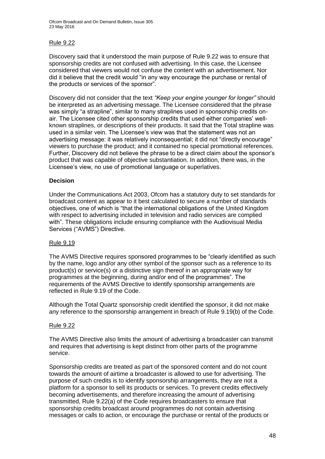### Rule 9.22

Discovery said that it understood the main purpose of Rule 9.22 was to ensure that sponsorship credits are not confused with advertising. In this case, the Licensee considered that viewers would not confuse the content with an advertisement. Nor did it believe that the credit would "in any way encourage the purchase or rental of the products or services of the sponsor".

Discovery did not consider that the text *"Keep your engine younger for longer"* should be interpreted as an advertising message. The Licensee considered that the phrase was simply "a strapline", similar to many straplines used in sponsorship credits onair. The Licensee cited other sponsorship credits that used either companies' wellknown straplines, or descriptions of their products. It said that the Total strapline was used in a similar vein. The Licensee's view was that the statement was not an advertising message: it was relatively inconsequential; it did not "directly encourage" viewers to purchase the product; and it contained no special promotional references. Further, Discovery did not believe the phrase to be a direct claim about the sponsor's product that was capable of objective substantiation. In addition, there was, in the Licensee's view, no use of promotional language or superlatives.

### **Decision**

Under the Communications Act 2003, Ofcom has a statutory duty to set standards for broadcast content as appear to it best calculated to secure a number of standards objectives, one of which is "that the international obligations of the United Kingdom with respect to advertising included in television and radio services are complied with". These obligations include ensuring compliance with the Audiovisual Media Services ("AVMS") Directive.

### Rule 9.19

The AVMS Directive requires sponsored programmes to be "clearly identified as such by the name, logo and/or any other symbol of the sponsor such as a reference to its product(s) or service(s) or a distinctive sign thereof in an appropriate way for programmes at the beginning, during and/or end of the programmes". The requirements of the AVMS Directive to identify sponsorship arrangements are reflected in Rule 9.19 of the Code.

Although the Total Quartz sponsorship credit identified the sponsor, it did not make any reference to the sponsorship arrangement in breach of Rule 9.19(b) of the Code.

### Rule 9.22

The AVMS Directive also limits the amount of advertising a broadcaster can transmit and requires that advertising is kept distinct from other parts of the programme service.

Sponsorship credits are treated as part of the sponsored content and do not count towards the amount of airtime a broadcaster is allowed to use for advertising. The purpose of such credits is to identify sponsorship arrangements, they are not a platform for a sponsor to sell its products or services. To prevent credits effectively becoming advertisements, and therefore increasing the amount of advertising transmitted, Rule 9.22(a) of the Code requires broadcasters to ensure that sponsorship credits broadcast around programmes do not contain advertising messages or calls to action, or encourage the purchase or rental of the products or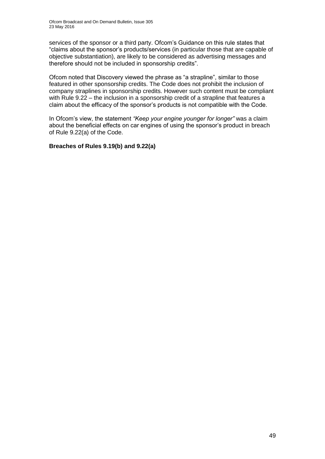services of the sponsor or a third party. Ofcom's Guidance on this rule states that "claims about the sponsor's products/services (in particular those that are capable of objective substantiation), are likely to be considered as advertising messages and therefore should not be included in sponsorship credits".

Ofcom noted that Discovery viewed the phrase as "a strapline", similar to those featured in other sponsorship credits. The Code does not prohibit the inclusion of company straplines in sponsorship credits. However such content must be compliant with Rule 9.22 – the inclusion in a sponsorship credit of a strapline that features a claim about the efficacy of the sponsor's products is not compatible with the Code.

In Ofcom's view, the statement *"Keep your engine younger for longer"* was a claim about the beneficial effects on car engines of using the sponsor's product in breach of Rule 9.22(a) of the Code.

### **Breaches of Rules 9.19(b) and 9.22(a)**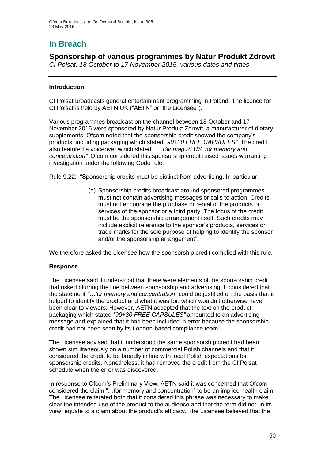# **In Breach**

### **Sponsorship of various programmes by Natur Produkt Zdrovit**

*CI Polsat, 18 October to 17 November 2015, various dates and times*

### **Introduction**

CI Polsat broadcasts general entertainment programming in Poland. The licence for CI Polsat is held by AETN UK ("AETN" or "the Licensee").

Various programmes broadcast on the channel between 18 October and 17 November 2015 were sponsored by Natur Produkt Zdrovit, a manufacturer of dietary supplements. Ofcom noted that the sponsorship credit showed the company's products, including packaging which stated *"90+30 FREE CAPSULES"*. The credit also featured a voiceover which stated *"… Bilomag PLUS, for memory and concentration"*. Ofcom considered this sponsorship credit raised issues warranting investigation under the following Code rule:

Rule 9.22: "Sponsorship credits must be distinct from advertising. In particular:

(a) Sponsorship credits broadcast around sponsored programmes must not contain advertising messages or calls to action. Credits must not encourage the purchase or rental of the products or services of the sponsor or a third party. The focus of the credit must be the sponsorship arrangement itself. Such credits may include explicit reference to the sponsor's products, services or trade marks for the sole purpose of helping to identify the sponsor and/or the sponsorship arrangement".

We therefore asked the Licensee how the sponsorship credit complied with this rule.

### **Response**

The Licensee said it understood that there were elements of the sponsorship credit that risked blurring the line between sponsorship and advertising. It considered that the statement *"…for memory and concentration"* could be justified on the basis that it helped to identify the product and what it was for, which wouldn't otherwise have been clear to viewers. However, AETN accepted that the text on the product packaging which stated *"90+30 FREE CAPSULES"* amounted to an advertising message and explained that it had been included in error because the sponsorship credit had not been seen by its London-based compliance team.

The Licensee advised that it understood the same sponsorship credit had been shown simultaneously on a number of commercial Polish channels and that it considered the credit to be broadly in line with local Polish expectations for sponsorship credits. Nonetheless, it had removed the credit from the CI Polsat schedule when the error was discovered.

In response to Ofcom's Preliminary View, AETN said it was concerned that Ofcom considered the claim "…for memory and concentration" to be an implied health claim. The Licensee reiterated both that it considered this phrase was necessary to make clear the intended use of the product to the audience and that the term did not, in its view, equate to a claim about the product's efficacy. The Licensee believed that the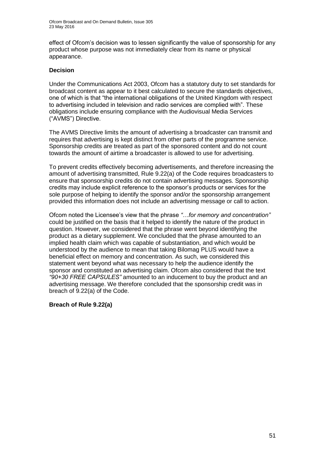effect of Ofcom's decision was to lessen significantly the value of sponsorship for any product whose purpose was not immediately clear from its name or physical appearance.

### **Decision**

Under the Communications Act 2003, Ofcom has a statutory duty to set standards for broadcast content as appear to it best calculated to secure the standards objectives, one of which is that "the international obligations of the United Kingdom with respect to advertising included in television and radio services are complied with". These obligations include ensuring compliance with the Audiovisual Media Services ("AVMS") Directive.

The AVMS Directive limits the amount of advertising a broadcaster can transmit and requires that advertising is kept distinct from other parts of the programme service. Sponsorship credits are treated as part of the sponsored content and do not count towards the amount of airtime a broadcaster is allowed to use for advertising.

To prevent credits effectively becoming advertisements, and therefore increasing the amount of advertising transmitted, Rule 9.22(a) of the Code requires broadcasters to ensure that sponsorship credits do not contain advertising messages. Sponsorship credits may include explicit reference to the sponsor's products or services for the sole purpose of helping to identify the sponsor and/or the sponsorship arrangement provided this information does not include an advertising message or call to action.

Ofcom noted the Licensee's view that the phrase *"…for memory and concentration"* could be justified on the basis that it helped to identify the nature of the product in question. However, we considered that the phrase went beyond identifying the product as a dietary supplement. We concluded that the phrase amounted to an implied health claim which was capable of substantiation, and which would be understood by the audience to mean that taking Bilomag PLUS would have a beneficial effect on memory and concentration. As such, we considered this statement went beyond what was necessary to help the audience identify the sponsor and constituted an advertising claim. Ofcom also considered that the text *"90+30 FREE CAPSULES"* amounted to an inducement to buy the product and an advertising message. We therefore concluded that the sponsorship credit was in breach of 9.22(a) of the Code.

### **Breach of Rule 9.22(a)**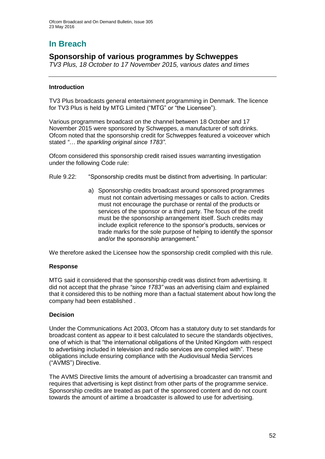# **In Breach**

### **Sponsorship of various programmes by Schweppes**

*TV3 Plus, 18 October to 17 November 2015, various dates and times*

### **Introduction**

TV3 Plus broadcasts general entertainment programming in Denmark. The licence for TV3 Plus is held by MTG Limited ("MTG" or "the Licensee").

Various programmes broadcast on the channel between 18 October and 17 November 2015 were sponsored by Schweppes, a manufacturer of soft drinks. Ofcom noted that the sponsorship credit for Schweppes featured a voiceover which stated *"… the sparkling original since 1783"*.

Ofcom considered this sponsorship credit raised issues warranting investigation under the following Code rule:

- Rule 9.22: "Sponsorship credits must be distinct from advertising. In particular:
	- a) Sponsorship credits broadcast around sponsored programmes must not contain advertising messages or calls to action. Credits must not encourage the purchase or rental of the products or services of the sponsor or a third party. The focus of the credit must be the sponsorship arrangement itself. Such credits may include explicit reference to the sponsor's products, services or trade marks for the sole purpose of helping to identify the sponsor and/or the sponsorship arrangement."

We therefore asked the Licensee how the sponsorship credit complied with this rule.

### **Response**

MTG said it considered that the sponsorship credit was distinct from advertising. It did not accept that the phrase *"since 1783"* was an advertising claim and explained that it considered this to be nothing more than a factual statement about how long the company had been established .

### **Decision**

Under the Communications Act 2003, Ofcom has a statutory duty to set standards for broadcast content as appear to it best calculated to secure the standards objectives, one of which is that "the international obligations of the United Kingdom with respect to advertising included in television and radio services are complied with". These obligations include ensuring compliance with the Audiovisual Media Services ("AVMS") Directive.

The AVMS Directive limits the amount of advertising a broadcaster can transmit and requires that advertising is kept distinct from other parts of the programme service. Sponsorship credits are treated as part of the sponsored content and do not count towards the amount of airtime a broadcaster is allowed to use for advertising.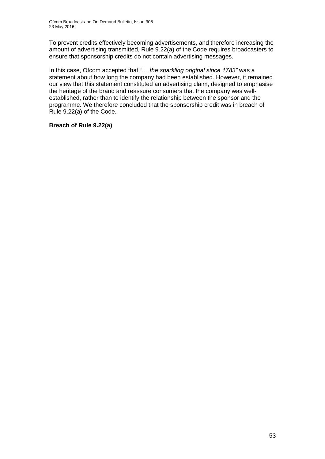To prevent credits effectively becoming advertisements, and therefore increasing the amount of advertising transmitted, Rule 9.22(a) of the Code requires broadcasters to ensure that sponsorship credits do not contain advertising messages.

In this case, Ofcom accepted that *"*… *the sparkling original since 1783"* was a statement about how long the company had been established. However, it remained our view that this statement constituted an advertising claim, designed to emphasise the heritage of the brand and reassure consumers that the company was wellestablished, rather than to identify the relationship between the sponsor and the programme. We therefore concluded that the sponsorship credit was in breach of Rule 9.22(a) of the Code.

### **Breach of Rule 9.22(a)**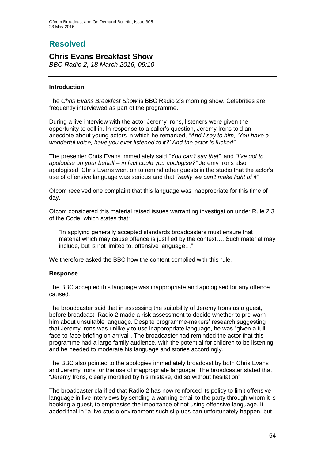# **Resolved**

### **Chris Evans Breakfast Show**

*BBC Radio 2, 18 March 2016, 09:10*

### **Introduction**

The *Chris Evans Breakfast Show* is BBC Radio 2's morning show. Celebrities are frequently interviewed as part of the programme.

During a live interview with the actor Jeremy Irons, listeners were given the opportunity to call in. In response to a caller's question, Jeremy Irons told an anecdote about young actors in which he remarked, *"And I say to him, 'You have a wonderful voice, have you ever listened to it?' And the actor is fucked".*

The presenter Chris Evans immediately said *"You can't say that"*, and *"I've got to apologise on your behalf – in fact could you apologise?"* Jeremy Irons also apologised. Chris Evans went on to remind other guests in the studio that the actor's use of offensive language was serious and that *"really we can't make light of it"*.

Ofcom received one complaint that this language was inappropriate for this time of day.

Ofcom considered this material raised issues warranting investigation under Rule 2.3 of the Code, which states that:

"In applying generally accepted standards broadcasters must ensure that material which may cause offence is justified by the context…. Such material may include, but is not limited to, offensive language…"

We therefore asked the BBC how the content complied with this rule.

### **Response**

The BBC accepted this language was inappropriate and apologised for any offence caused.

The broadcaster said that in assessing the suitability of Jeremy Irons as a guest, before broadcast, Radio 2 made a risk assessment to decide whether to pre-warn him about unsuitable language. Despite programme-makers' research suggesting that Jeremy Irons was unlikely to use inappropriate language, he was "given a full face-to-face briefing on arrival". The broadcaster had reminded the actor that this programme had a large family audience, with the potential for children to be listening, and he needed to moderate his language and stories accordingly.

The BBC also pointed to the apologies immediately broadcast by both Chris Evans and Jeremy Irons for the use of inappropriate language. The broadcaster stated that "Jeremy Irons, clearly mortified by his mistake, did so without hesitation".

The broadcaster clarified that Radio 2 has now reinforced its policy to limit offensive language in live interviews by sending a warning email to the party through whom it is booking a guest, to emphasise the importance of not using offensive language. It added that in "a live studio environment such slip-ups can unfortunately happen, but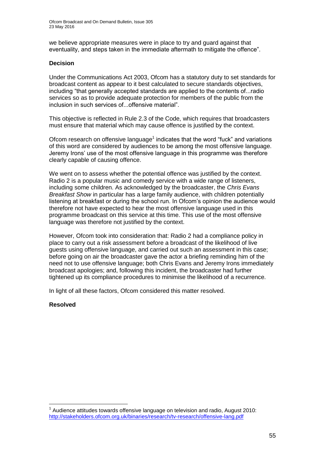we believe appropriate measures were in place to try and guard against that eventuality, and steps taken in the immediate aftermath to mitigate the offence".

### **Decision**

Under the Communications Act 2003, Ofcom has a statutory duty to set standards for broadcast content as appear to it best calculated to secure standards objectives, including "that generally accepted standards are applied to the contents of...radio services so as to provide adequate protection for members of the public from the inclusion in such services of...offensive material".

This objective is reflected in Rule 2.3 of the Code, which requires that broadcasters must ensure that material which may cause offence is justified by the context.

Ofcom research on offensive language<sup>1</sup> indicates that the word "fuck" and variations of this word are considered by audiences to be among the most offensive language. Jeremy Irons' use of the most offensive language in this programme was therefore clearly capable of causing offence.

We went on to assess whether the potential offence was justified by the context. Radio 2 is a popular music and comedy service with a wide range of listeners, including some children. As acknowledged by the broadcaster, the *Chris Evans Breakfast Show* in particular has a large family audience, with children potentially listening at breakfast or during the school run. In Ofcom's opinion the audience would therefore not have expected to hear the most offensive language used in this programme broadcast on this service at this time. This use of the most offensive language was therefore not justified by the context.

However, Ofcom took into consideration that: Radio 2 had a compliance policy in place to carry out a risk assessment before a broadcast of the likelihood of live guests using offensive language, and carried out such an assessment in this case; before going on air the broadcaster gave the actor a briefing reminding him of the need not to use offensive language; both Chris Evans and Jeremy Irons immediately broadcast apologies; and, following this incident, the broadcaster had further tightened up its compliance procedures to minimise the likelihood of a recurrence.

In light of all these factors, Ofcom considered this matter resolved.

### **Resolved**

1

 $1$  Audience attitudes towards offensive language on television and radio, August 2010: <http://stakeholders.ofcom.org.uk/binaries/research/tv-research/offensive-lang.pdf>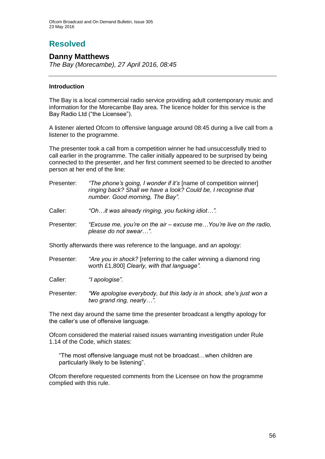# **Resolved**

### **Danny Matthews**

*The Bay (Morecambe), 27 April 2016, 08:45*

### **Introduction**

The Bay is a local commercial radio service providing adult contemporary music and information for the Morecambe Bay area. The licence holder for this service is the Bay Radio Ltd ("the Licensee").

A listener alerted Ofcom to offensive language around 08:45 during a live call from a listener to the programme.

The presenter took a call from a competition winner he had unsuccessfully tried to call earlier in the programme. The caller initially appeared to be surprised by being connected to the presenter, and her first comment seemed to be directed to another person at her end of the line:

| Presenter: | "The phone's going, I wonder if it's [name of competition winner] |
|------------|-------------------------------------------------------------------|
|            | ringing back? Shall we have a look? Could be, I recognise that    |
|            | number. Good morning, The Bay".                                   |
|            |                                                                   |

Caller: *"Oh…it was already ringing, you fucking idiot…".*

Presenter: *"Excuse me, you're on the air – excuse me…You're live on the radio, please do not swear…".*

Shortly afterwards there was reference to the language, and an apology:

- Presenter: *"Are you in shock?* [referring to the caller winning a diamond ring worth £1,800] *Clearly, with that language".*
- Caller: *"I apologise".*
- Presenter: *"We apologise everybody, but this lady is in shock, she's just won a two grand ring, nearly…".*

The next day around the same time the presenter broadcast a lengthy apology for the caller's use of offensive language.

Ofcom considered the material raised issues warranting investigation under Rule 1.14 of the Code, which states:

"The most offensive language must not be broadcast…when children are particularly likely to be listening".

Ofcom therefore requested comments from the Licensee on how the programme complied with this rule.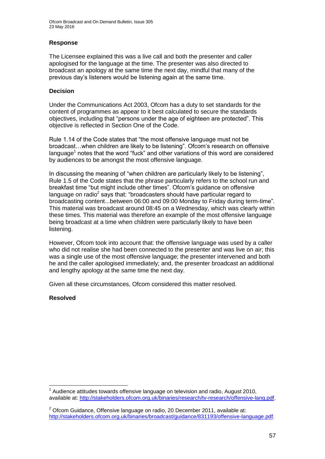Ofcom Broadcast and On Demand Bulletin, Issue 305 23 May 2016

### **Response**

The Licensee explained this was a live call and both the presenter and caller apologised for the language at the time. The presenter was also directed to broadcast an apology at the same time the next day, mindful that many of the previous day's listeners would be listening again at the same time.

### **Decision**

Under the Communications Act 2003, Ofcom has a duty to set standards for the content of programmes as appear to it best calculated to secure the standards objectives, including that "persons under the age of eighteen are protected". This objective is reflected in Section One of the Code.

Rule 1.14 of the Code states that "the most offensive language must not be broadcast…when children are likely to be listening". Ofcom's research on offensive language<sup>1</sup> notes that the word "fuck" and other variations of this word are considered by audiences to be amongst the most offensive language.

In discussing the meaning of "when children are particularly likely to be listening", Rule 1.5 of the Code states that the phrase particularly refers to the school run and breakfast time "but might include other times". Ofcom's guidance on offensive language on radio<sup>2</sup> says that: "broadcasters should have particular regard to broadcasting content...between 06:00 and 09:00 Monday to Friday during term-time". This material was broadcast around 08:45 on a Wednesday, which was clearly within these times. This material was therefore an example of the most offensive language being broadcast at a time when children were particularly likely to have been listening.

However, Ofcom took into account that: the offensive language was used by a caller who did not realise she had been connected to the presenter and was live on air; this was a single use of the most offensive language; the presenter intervened and both he and the caller apologised immediately; and, the presenter broadcast an additional and lengthy apology at the same time the next day.

Given all these circumstances, Ofcom considered this matter resolved.

### **Resolved**

<sup>1</sup> 1 Audience attitudes towards offensive language on television and radio, August 2010, available at: [http://stakeholders.ofcom.org.uk/binaries/research/tv-research/offensive-lang.pdf.](http://stakeholders.ofcom.org.uk/binaries/research/tv-research/offensive-lang.pdf)

 $2$  Ofcom Guidance, Offensive language on radio, 20 December 2011, available at: [http://stakeholders.ofcom.org.uk/binaries/broadcast/guidance/831193/offensive-language.pdf.](http://stakeholders.ofcom.org.uk/binaries/broadcast/guidance/831193/offensive-language.pdf)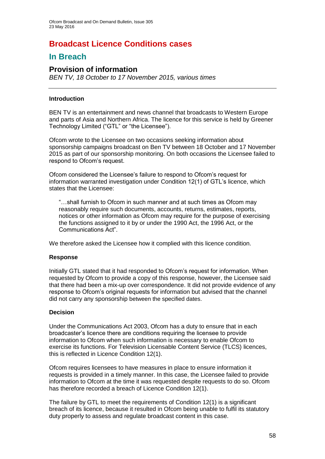### **Broadcast Licence Conditions cases**

### **In Breach**

### **Provision of information**

*BEN TV, 18 October to 17 November 2015, various times*

### **Introduction**

BEN TV is an entertainment and news channel that broadcasts to Western Europe and parts of Asia and Northern Africa. The licence for this service is held by Greener Technology Limited ("GTL" or "the Licensee").

Ofcom wrote to the Licensee on two occasions seeking information about sponsorship campaigns broadcast on Ben TV between 18 October and 17 November 2015 as part of our sponsorship monitoring. On both occasions the Licensee failed to respond to Ofcom's request.

Ofcom considered the Licensee's failure to respond to Ofcom's request for information warranted investigation under Condition 12(1) of GTL's licence, which states that the Licensee:

"…shall furnish to Ofcom in such manner and at such times as Ofcom may reasonably require such documents, accounts, returns, estimates, reports, notices or other information as Ofcom may require for the purpose of exercising the functions assigned to it by or under the 1990 Act, the 1996 Act, or the Communications Act".

We therefore asked the Licensee how it complied with this licence condition.

### **Response**

Initially GTL stated that it had responded to Ofcom's request for information. When requested by Ofcom to provide a copy of this response, however, the Licensee said that there had been a mix-up over correspondence. It did not provide evidence of any response to Ofcom's original requests for information but advised that the channel did not carry any sponsorship between the specified dates.

### **Decision**

Under the Communications Act 2003, Ofcom has a duty to ensure that in each broadcaster's licence there are conditions requiring the licensee to provide information to Ofcom when such information is necessary to enable Ofcom to exercise its functions. For Television Licensable Content Service (TLCS) licences, this is reflected in Licence Condition 12(1).

Ofcom requires licensees to have measures in place to ensure information it requests is provided in a timely manner. In this case, the Licensee failed to provide information to Ofcom at the time it was requested despite requests to do so. Ofcom has therefore recorded a breach of Licence Condition 12(1).

The failure by GTL to meet the requirements of Condition 12(1) is a significant breach of its licence, because it resulted in Ofcom being unable to fulfil its statutory duty properly to assess and regulate broadcast content in this case.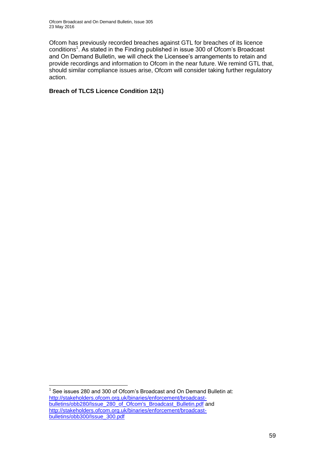Ofcom Broadcast and On Demand Bulletin, Issue 305 23 May 2016

Ofcom has previously recorded breaches against GTL for breaches of its licence conditions<sup>1</sup>. As stated in the Finding published in issue 300 of Ofcom's Broadcast and On Demand Bulletin, we will check the Licensee's arrangements to retain and provide recordings and information to Ofcom in the near future. We remind GTL that, should similar compliance issues arise, Ofcom will consider taking further regulatory action.

**Breach of TLCS Licence Condition 12(1)**

1

<sup>1</sup> See issues 280 and 300 of Ofcom's Broadcast and On Demand Bulletin at: [http://stakeholders.ofcom.org.uk/binaries/enforcement/broadcast](http://stakeholders.ofcom.org.uk/binaries/enforcement/broadcast-bulletins/obb280/Issue_280_of_Ofcom)[bulletins/obb280/Issue\\_280\\_of\\_Ofcom's\\_Broadcast\\_Bulletin.pdf](http://stakeholders.ofcom.org.uk/binaries/enforcement/broadcast-bulletins/obb280/Issue_280_of_Ofcom) and [http://stakeholders.ofcom.org.uk/binaries/enforcement/broadcast](http://stakeholders.ofcom.org.uk/binaries/enforcement/broadcast-bulletins/obb300/Issue_300.pdf)[bulletins/obb300/Issue\\_300.pdf](http://stakeholders.ofcom.org.uk/binaries/enforcement/broadcast-bulletins/obb300/Issue_300.pdf)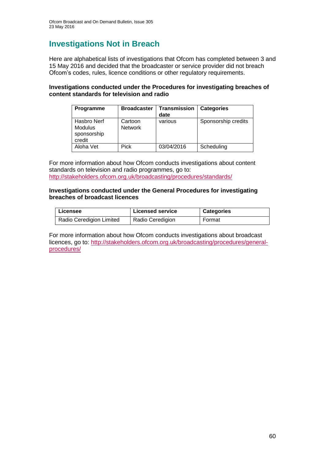# **Investigations Not in Breach**

Here are alphabetical lists of investigations that Ofcom has completed between 3 and 15 May 2016 and decided that the broadcaster or service provider did not breach Ofcom's codes, rules, licence conditions or other regulatory requirements.

### **Investigations conducted under the Procedures for investigating breaches of content standards for television and radio**

| Programme                                              | <b>Broadcaster</b>        | <b>Transmission</b><br>date | <b>Categories</b>   |
|--------------------------------------------------------|---------------------------|-----------------------------|---------------------|
| Hasbro Nerf<br><b>Modulus</b><br>sponsorship<br>credit | Cartoon<br><b>Network</b> | various                     | Sponsorship credits |
| Aloha Vet                                              | <b>Pick</b>               | 03/04/2016                  | Scheduling          |

For more information about how Ofcom conducts investigations about content standards on television and radio programmes, go to: <http://stakeholders.ofcom.org.uk/broadcasting/procedures/standards/>

#### **Investigations conducted under the General Procedures for investigating breaches of broadcast licences**

| Licensee                 | <b>Licensed service</b> | <b>Categories</b> |
|--------------------------|-------------------------|-------------------|
| Radio Ceredigion Limited | Radio Ceredigion        | Format            |

For more information about how Ofcom conducts investigations about broadcast licences, go to: [http://stakeholders.ofcom.org.uk/broadcasting/procedures/general](http://stakeholders.ofcom.org.uk/broadcasting/procedures/general-procedures/)[procedures/](http://stakeholders.ofcom.org.uk/broadcasting/procedures/general-procedures/)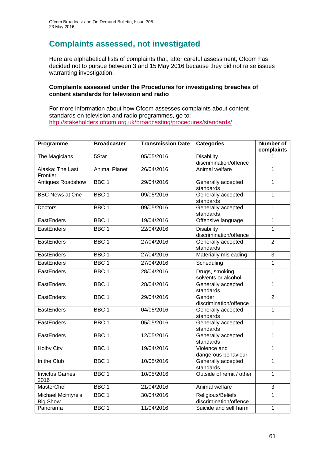# **Complaints assessed, not investigated**

Here are alphabetical lists of complaints that, after careful assessment, Ofcom has decided not to pursue between 3 and 15 May 2016 because they did not raise issues warranting investigation.

#### **Complaints assessed under the Procedures for investigating breaches of content standards for television and radio**

For more information about how Ofcom assesses complaints about content standards on television and radio programmes, go to: <http://stakeholders.ofcom.org.uk/broadcasting/procedures/standards/>

| Programme                             | <b>Broadcaster</b>   | <b>Transmission Date</b> | <b>Categories</b>                                           | <b>Number of</b><br>complaints |
|---------------------------------------|----------------------|--------------------------|-------------------------------------------------------------|--------------------------------|
| The Magicians                         | 5Star                | 05/05/2016               | <b>Disability</b><br>discrimination/offence                 | 1                              |
| Alaska: The Last<br>Frontier          | <b>Animal Planet</b> | 26/04/2016               | Animal welfare                                              | $\overline{1}$                 |
| <b>Antiques Roadshow</b>              | BBC <sub>1</sub>     | 29/04/2016               | Generally accepted<br>standards                             | 1                              |
| <b>BBC News at One</b>                | BBC <sub>1</sub>     | 09/05/2016               | Generally accepted<br>standards                             | $\mathbf{1}$                   |
| <b>Doctors</b>                        | BBC <sub>1</sub>     | 09/05/2016               | Generally accepted<br>standards                             | $\mathbf{1}$                   |
| EastEnders                            | BBC <sub>1</sub>     | 19/04/2016               | Offensive language                                          | $\mathbf{1}$                   |
| EastEnders                            | BBC <sub>1</sub>     | 22/04/2016               | <b>Disability</b><br>discrimination/offence                 | $\overline{1}$                 |
| EastEnders                            | BBC <sub>1</sub>     | 27/04/2016               | Generally accepted<br>standards                             | $\overline{2}$                 |
| EastEnders                            | BBC <sub>1</sub>     | 27/04/2016               | Materially misleading                                       | 3                              |
| EastEnders                            | BBC <sub>1</sub>     | 27/04/2016               | Scheduling                                                  | $\overline{1}$                 |
| EastEnders                            | BBC <sub>1</sub>     | 28/04/2016               | Drugs, smoking,<br>solvents or alcohol                      | $\mathbf{1}$                   |
| EastEnders                            | BBC <sub>1</sub>     | 28/04/2016               | Generally accepted<br>standards                             | $\overline{1}$                 |
| EastEnders                            | BBC <sub>1</sub>     | 29/04/2016               | Gender<br>discrimination/offence                            | $\overline{2}$                 |
| EastEnders                            | BBC <sub>1</sub>     | 04/05/2016               | Generally accepted<br>standards                             |                                |
| EastEnders                            | BBC <sub>1</sub>     | 05/05/2016               | Generally accepted<br>standards                             |                                |
| EastEnders                            | BBC <sub>1</sub>     | 12/05/2016               | Generally accepted<br>$\overline{1}$<br>standards           |                                |
| <b>Holby City</b>                     | BBC <sub>1</sub>     | 19/04/2016               | Violence and<br>dangerous behaviour                         |                                |
| In the Club                           | BBC <sub>1</sub>     | 10/05/2016               | Generally accepted<br>$\mathbf{1}$<br>standards             |                                |
| <b>Invictus Games</b><br>2016         | BBC <sub>1</sub>     | 10/05/2016               | Outside of remit / other                                    | $\overline{1}$                 |
| <b>MasterChef</b>                     | BBC <sub>1</sub>     | 21/04/2016               | Animal welfare                                              | $\overline{3}$                 |
| Michael Mcintyre's<br><b>Big Show</b> | BBC <sub>1</sub>     | 30/04/2016               | Religious/Beliefs<br>$\mathbf{1}$<br>discrimination/offence |                                |
| Panorama                              | BBC <sub>1</sub>     | 11/04/2016               | Suicide and self harm                                       | $\overline{1}$                 |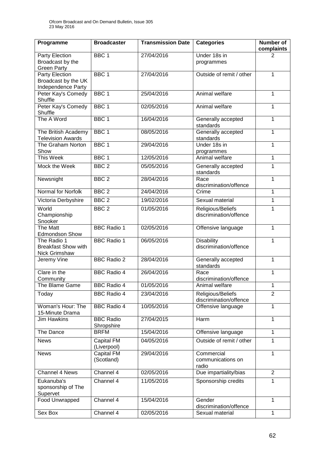| Programme                                                  | <b>Broadcaster</b>               | <b>Transmission Date</b> | <b>Categories</b>                           | <b>Number of</b><br>complaints |
|------------------------------------------------------------|----------------------------------|--------------------------|---------------------------------------------|--------------------------------|
| Party Election<br>Broadcast by the                         | BBC <sub>1</sub>                 | 27/04/2016               | Under 18s in<br>programmes                  | 2                              |
| <b>Green Party</b><br>Party Election                       | BBC <sub>1</sub>                 | 27/04/2016               | Outside of remit / other                    | 1                              |
| Broadcast by the UK<br>Independence Party                  |                                  |                          |                                             |                                |
| Peter Kay's Comedy<br>Shuffle                              | BBC <sub>1</sub>                 | 25/04/2016               | Animal welfare                              | 1                              |
| Peter Kay's Comedy<br>Shuffle                              | BBC <sub>1</sub>                 | 02/05/2016               | Animal welfare                              | 1                              |
| The A Word                                                 | BBC <sub>1</sub>                 | 16/04/2016               | Generally accepted<br>standards             | 1                              |
| The British Academy<br><b>Television Awards</b>            | BBC <sub>1</sub>                 | 08/05/2016               | Generally accepted<br>standards             | $\mathbf 1$                    |
| The Graham Norton<br>Show                                  | BBC <sub>1</sub>                 | 29/04/2016               | Under 18s in<br>programmes                  | 1                              |
| This Week                                                  | BBC <sub>1</sub>                 | 12/05/2016               | Animal welfare                              | 1                              |
| Mock the Week                                              | BBC <sub>2</sub>                 | 05/05/2016               | Generally accepted<br>standards             | 1                              |
| Newsnight                                                  | BBC <sub>2</sub>                 | 28/04/2016               | Race<br>discrimination/offence              | 1                              |
| Normal for Norfolk                                         | BBC <sub>2</sub>                 | 24/04/2016               | Crime                                       | 1                              |
| Victoria Derbyshire                                        | BBC <sub>2</sub>                 | 19/02/2016               | Sexual material                             | 1                              |
| World<br>Championship<br>Snooker                           | BBC <sub>2</sub>                 | 01/05/2016               | Religious/Beliefs<br>discrimination/offence | 1                              |
| The Matt<br><b>Edmondson Show</b>                          | <b>BBC Radio 1</b>               | 02/05/2016               | Offensive language                          | 1                              |
| The Radio 1<br><b>Breakfast Show with</b><br>Nick Grimshaw | <b>BBC Radio 1</b>               | 06/05/2016               | <b>Disability</b><br>discrimination/offence | 1                              |
| Jeremy Vine                                                | <b>BBC Radio 2</b>               | 28/04/2016               | Generally accepted<br>standards             | $\mathbf 1$                    |
| Clare in the<br>Community                                  | <b>BBC Radio 4</b>               | 26/04/2016               | Race<br>discrimination/offence              | 1                              |
| The Blame Game                                             | <b>BBC Radio 4</b>               | 01/05/2016               | Animal welfare                              | 1                              |
| Today                                                      | <b>BBC Radio 4</b>               | 23/04/2016               | Religious/Beliefs<br>discrimination/offence | $\overline{2}$                 |
| Woman's Hour: The<br>15-Minute Drama                       | <b>BBC Radio 4</b>               | 10/05/2016               | Offensive language                          | 1                              |
| Jim Hawkins                                                | <b>BBC Radio</b><br>Shropshire   | 27/04/2015               | Harm                                        | $\mathbf{1}$                   |
| The Dance                                                  | <b>BRFM</b>                      | 15/04/2016               | Offensive language                          | 1                              |
| <b>News</b>                                                | <b>Capital FM</b><br>(Liverpool) | 04/05/2016               | Outside of remit / other                    | $\overline{1}$                 |
| <b>News</b>                                                | Capital FM<br>(Scotland)         | 29/04/2016               | Commercial<br>communications on<br>radio    | $\mathbf{1}$                   |
| Channel 4 News                                             | Channel 4                        | 02/05/2016               | Due impartiality/bias                       | $\overline{2}$                 |
| Eukanuba's<br>sponsorship of The<br>Supervet               | Channel 4                        | 11/05/2016               | Sponsorship credits                         | 1                              |
| Food Unwrapped                                             | Channel 4                        | 15/04/2016               | Gender<br>discrimination/offence            | 1                              |
| Sex Box                                                    | Channel 4                        | 02/05/2016               | Sexual material                             | 1                              |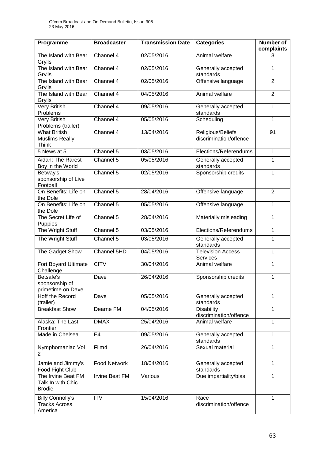| Programme                                                    | <b>Broadcaster</b>    | <b>Transmission Date</b> | <b>Categories</b>                           | Number of<br>complaints |
|--------------------------------------------------------------|-----------------------|--------------------------|---------------------------------------------|-------------------------|
| The Island with Bear<br>Grylls                               | Channel 4             | 02/05/2016               | Animal welfare                              | 3                       |
| The Island with Bear<br>Grylls                               | Channel 4             | 02/05/2016               | Generally accepted<br>standards             | $\mathbf{1}$            |
| The Island with Bear<br>Grylls                               | Channel 4             | 02/05/2016               | Offensive language                          | $\overline{2}$          |
| The Island with Bear<br>Grylls                               | Channel 4             | 04/05/2016               | Animal welfare                              | $\overline{2}$          |
| <b>Very British</b><br>Problems                              | Channel 4             | 09/05/2016               | Generally accepted<br>standards             | $\mathbf{1}$            |
| <b>Very British</b><br>Problems (trailer)                    | Channel 4             | 05/05/2016               | Scheduling                                  | 1                       |
| <b>What British</b><br><b>Muslims Really</b><br><b>Think</b> | Channel 4             | 13/04/2016               | Religious/Beliefs<br>discrimination/offence | 91                      |
| 5 News at 5                                                  | Channel 5             | 03/05/2016               | Elections/Referendums                       | $\mathbf{1}$            |
| Aidan: The Rarest<br>Boy in the World                        | Channel 5             | 05/05/2016               | Generally accepted<br>standards             | 1                       |
| Betway's<br>sponsorship of Live<br>Football                  | Channel 5             | 02/05/2016               | Sponsorship credits                         | $\mathbf{1}$            |
| On Benefits: Life on<br>the Dole                             | Channel 5             | 28/04/2016               | Offensive language                          | $\overline{2}$          |
| On Benefits: Life on<br>the Dole                             | Channel 5             | 05/05/2016               | Offensive language                          | 1                       |
| The Secret Life of<br>Puppies                                | Channel 5             | 28/04/2016               | Materially misleading                       | 1                       |
| The Wright Stuff                                             | Channel 5             | 03/05/2016               | Elections/Referendums                       | $\mathbf{1}$            |
| The Wright Stuff                                             | Channel 5             | 03/05/2016               | Generally accepted<br>standards             | 1                       |
| The Gadget Show                                              | Channel 5HD           | 04/05/2016               | <b>Television Access</b><br>Services        | $\mathbf{1}$            |
| Fort Boyard Ultimate<br>Challenge                            | <b>CITV</b>           | 30/04/2016               | Animal welfare                              | $\mathbf{1}$            |
| Betsafe's<br>sponsorship of<br>primetime on Dave             | Dave                  | 26/04/2016               | Sponsorship credits                         | $\mathbf{1}$            |
| <b>Hoff the Record</b><br>(trailer)                          | Dave                  | 05/05/2016               | Generally accepted<br>standards             | 1                       |
| <b>Breakfast Show</b>                                        | Dearne FM             | 04/05/2016               | <b>Disability</b><br>discrimination/offence | $\mathbf{1}$            |
| Alaska: The Last<br>Frontier                                 | <b>DMAX</b>           | 25/04/2016               | Animal welfare                              | 1                       |
| Made in Chelsea                                              | E <sub>4</sub>        | 09/05/2016               | Generally accepted<br>standards             | 1                       |
| Nymphomaniac Vol<br>2                                        | Film4                 | 26/04/2016               | Sexual material                             | $\mathbf{1}$            |
| Jamie and Jimmy's<br>Food Fight Club                         | <b>Food Network</b>   | 18/04/2016               | Generally accepted<br>standards             | $\mathbf{1}$            |
| The Irvine Beat FM<br>Talk In with Chic<br><b>Brodie</b>     | <b>Irvine Beat FM</b> | Various                  | Due impartiality/bias                       | $\mathbf{1}$            |
| <b>Billy Connolly's</b><br><b>Tracks Across</b><br>America   | <b>ITV</b>            | 15/04/2016               | Race<br>discrimination/offence              | 1                       |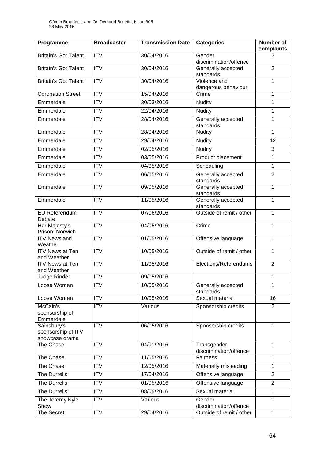| Programme                                           | <b>Broadcaster</b>      | <b>Transmission Date</b> | <b>Categories</b>                     | <b>Number of</b><br>complaints |
|-----------------------------------------------------|-------------------------|--------------------------|---------------------------------------|--------------------------------|
| <b>Britain's Got Talent</b>                         | <b>ITV</b>              | 30/04/2016               | Gender<br>discrimination/offence      | 2                              |
| <b>Britain's Got Talent</b>                         | <b>ITV</b>              | 30/04/2016               | Generally accepted<br>standards       | $\overline{2}$                 |
| <b>Britain's Got Talent</b>                         | $\overline{\text{IV}}$  | 30/04/2016               | Violence and                          | $\mathbf{1}$                   |
| <b>Coronation Street</b>                            | $\overline{ITV}$        | 15/04/2016               | dangerous behaviour<br>Crime          | 1                              |
| Emmerdale                                           | ITV                     | 30/03/2016               | <b>Nudity</b>                         | $\mathbf{1}$                   |
| Emmerdale                                           | <b>ITV</b>              | 22/04/2016               | <b>Nudity</b>                         | 1                              |
| Emmerdale                                           | <b>ITV</b>              | 28/04/2016               | Generally accepted<br>standards       | $\mathbf{1}$                   |
| Emmerdale                                           | <b>ITV</b>              | 28/04/2016               | <b>Nudity</b>                         | $\mathbf{1}$                   |
| Emmerdale                                           | <b>ITV</b>              | 29/04/2016               | <b>Nudity</b>                         | 12                             |
| Emmerdale                                           | $\overline{\text{ITV}}$ | 02/05/2016               | <b>Nudity</b>                         | $\overline{3}$                 |
| Emmerdale                                           | <b>ITV</b>              | 03/05/2016               | Product placement                     | 1                              |
| Emmerdale                                           | $\overline{ITV}$        | 04/05/2016               | Scheduling                            | 1                              |
| Emmerdale                                           | <b>ITV</b>              | 06/05/2016               | Generally accepted<br>standards       | $\overline{2}$                 |
| Emmerdale                                           | $\overline{\text{IV}}$  | 09/05/2016               | Generally accepted<br>standards       | $\mathbf{1}$                   |
| Emmerdale                                           | <b>ITV</b>              | 11/05/2016               | Generally accepted<br>standards       | 1                              |
| EU Referendum<br>Debate                             | $\overline{IV}$         | 07/06/2016               | Outside of remit / other              | $\mathbf{1}$                   |
| Her Majesty's<br>Prison: Norwich                    | <b>ITV</b>              | 04/05/2016               | Crime                                 | $\mathbf{1}$                   |
| <b>ITV News and</b><br>Weather                      | $\overline{\text{ITV}}$ | 01/05/2016               | Offensive language                    | $\mathbf{1}$                   |
| <b>ITV News at Ten</b><br>and Weather               | ITV                     | 10/05/2016               | Outside of remit / other              | $\mathbf{1}$                   |
| <b>ITV News at Ten</b><br>and Weather               | $\overline{IV}$         | 11/05/2016               | Elections/Referendums                 | $\overline{2}$                 |
| Judge Rinder                                        | <b>ITV</b>              | 09/05/2016               |                                       | 1                              |
| Loose Women                                         | <b>ITV</b>              | 10/05/2016               | Generally accepted<br>standards       | 1                              |
| Loose Women                                         | $\overline{IV}$         | 10/05/2016               | Sexual material                       | 16                             |
| McCain's<br>sponsorship of<br>Emmerdale             | $\overline{IV}$         | Various                  | Sponsorship credits                   | $\overline{2}$                 |
| Sainsbury's<br>sponsorship of ITV<br>showcase drama | <b>ITV</b>              | 06/05/2016               | Sponsorship credits                   | $\mathbf{1}$                   |
| The Chase                                           | <b>ITV</b>              | 04/01/2016               | Transgender<br>discrimination/offence | $\mathbf{1}$                   |
| The Chase                                           | <b>ITV</b>              | 11/05/2016               | Fairness                              | $\mathbf{1}$                   |
| The Chase                                           | <b>ITV</b>              | 12/05/2016               | Materially misleading                 | 1                              |
| The Durrells                                        | <b>ITV</b>              | 17/04/2016               | Offensive language                    | $\overline{2}$                 |
| The Durrells                                        | <b>ITV</b>              | 01/05/2016               | Offensive language                    | $\overline{2}$                 |
| <b>The Durrells</b>                                 | <b>ITV</b>              | 08/05/2016               | Sexual material                       | 1                              |
| The Jeremy Kyle<br>Show                             | <b>ITV</b>              | Various                  | Gender<br>discrimination/offence      | $\mathbf{1}$                   |
| The Secret                                          | ITV                     | 29/04/2016               | Outside of remit / other              | $\mathbf{1}$                   |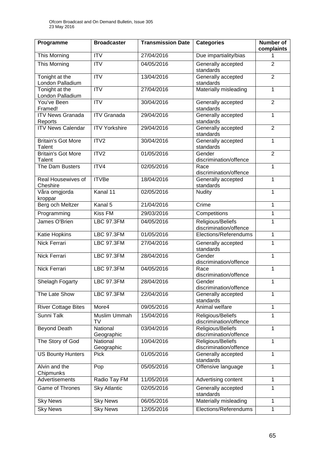| Programme                           | <b>Broadcaster</b>        | <b>Transmission Date</b> | <b>Categories</b>                           | Number of<br>complaints |  |
|-------------------------------------|---------------------------|--------------------------|---------------------------------------------|-------------------------|--|
| This Morning                        | $\overline{IV}$           | 27/04/2016               | Due impartiality/bias                       | 1                       |  |
| This Morning                        | $\overline{IV}$           | 04/05/2016               | Generally accepted<br>standards             | $\overline{2}$          |  |
| Tonight at the<br>London Palladium  | $\overline{\text{IV}}$    | 13/04/2016               | Generally accepted<br>standards             | $\overline{2}$          |  |
| Tonight at the<br>London Palladium  | $\overline{ITV}$          | 27/04/2016               | Materially misleading                       | $\mathbf{1}$            |  |
| You've Been<br>Framed!              | $\overline{\text{ITV}}$   | 30/04/2016               | Generally accepted<br>standards             | $\overline{2}$          |  |
| <b>ITV News Granada</b><br>Reports  | <b>ITV Granada</b>        | 29/04/2016               | Generally accepted<br>standards             | $\mathbf{1}$            |  |
| <b>ITV News Calendar</b>            | <b>ITV Yorkshire</b>      | 29/04/2016               | Generally accepted<br>standards             | $\overline{2}$          |  |
| <b>Britain's Got More</b><br>Talent | ITV2                      | 30/04/2016               | Generally accepted<br>standards             | $\mathbf{1}$            |  |
| <b>Britain's Got More</b><br>Talent | ITV2                      | 01/05/2016               | Gender<br>discrimination/offence            | $\overline{2}$          |  |
| The Dam Busters                     | ITV4                      | 02/05/2016               | Race<br>discrimination/offence              | $\mathbf{1}$            |  |
| Real Housewives of<br>Cheshire      | <b>ITVBe</b>              | 18/04/2016               | Generally accepted<br>standards             | $\mathbf{1}$            |  |
| Våra omgjorda<br>kroppar            | Kanal 11                  | 02/05/2016               | <b>Nudity</b>                               | $\mathbf{1}$            |  |
| Berg och Meltzer                    | Kanal 5                   | 21/04/2016               | Crime                                       | $\mathbf{1}$            |  |
| Programming                         | <b>Kiss FM</b>            | 29/03/2016               | Competitions                                | $\overline{1}$          |  |
| James O'Brien                       | <b>LBC 97.3FM</b>         | 04/05/2016               | Religious/Beliefs<br>discrimination/offence | 1                       |  |
| Katie Hopkins                       | <b>LBC 97.3FM</b>         | 01/05/2016               | Elections/Referendums                       | $\mathbf{1}$            |  |
| Nick Ferrari                        | <b>LBC 97.3FM</b>         | 27/04/2016               | Generally accepted<br>standards             | $\mathbf{1}$            |  |
| Nick Ferrari                        | <b>LBC 97.3FM</b>         | 28/04/2016               | Gender<br>discrimination/offence            | $\mathbf{1}$            |  |
| <b>Nick Ferrari</b>                 | <b>LBC 97.3FM</b>         | 04/05/2016               | Race<br>discrimination/offence              | $\mathbf{1}$            |  |
| Shelagh Fogarty                     | LBC 97.3FM                | 28/04/2016               | Gender<br>discrimination/offence            | $\mathbf{1}$            |  |
| The Late Show                       | <b>LBC 97.3FM</b>         | 22/04/2016               | Generally accepted<br>standards             | $\mathbf{1}$            |  |
| <b>River Cottage Bites</b>          | More4                     | 09/05/2016               | Animal welfare                              | $\mathbf{1}$            |  |
| Sunni Talk                          | <b>Muslim Ummah</b><br>TV | 15/04/2016               | Religious/Beliefs<br>discrimination/offence | $\mathbf{1}$            |  |
| <b>Beyond Death</b>                 | National<br>Geographic    | 03/04/2016               | Religious/Beliefs<br>discrimination/offence | 1                       |  |
| The Story of God                    | National<br>Geographic    | 10/04/2016               | Religious/Beliefs<br>discrimination/offence | 1                       |  |
| <b>US Bounty Hunters</b>            | <b>Pick</b>               | 01/05/2016               | Generally accepted<br>standards             | $\mathbf{1}$            |  |
| Alvin and the<br>Chipmunks          | Pop                       | 05/05/2016               | Offensive language                          | $\mathbf{1}$            |  |
| <b>Advertisements</b>               | Radio Tay FM              | 11/05/2016               | Advertising content                         | $\mathbf{1}$            |  |
| Game of Thrones                     | <b>Sky Atlantic</b>       | 02/05/2016               | Generally accepted<br>standards             | 1                       |  |
| <b>Sky News</b>                     | <b>Sky News</b>           | 06/05/2016               | Materially misleading                       | $\mathbf{1}$            |  |
| <b>Sky News</b>                     | <b>Sky News</b>           | 12/05/2016               | Elections/Referendums<br>$\mathbf{1}$       |                         |  |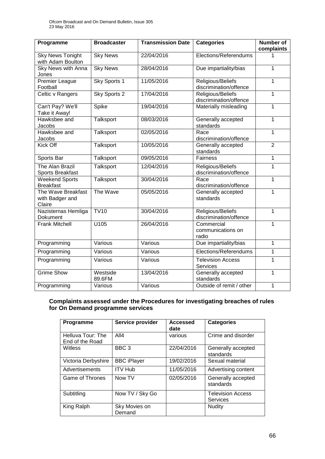| Programme                                       | <b>Broadcaster</b> | <b>Transmission Date</b> | <b>Categories</b>                           | <b>Number of</b><br>complaints |
|-------------------------------------------------|--------------------|--------------------------|---------------------------------------------|--------------------------------|
| <b>Sky News Tonight</b><br>with Adam Boulton    | <b>Sky News</b>    | 22/04/2016               | Elections/Referendums                       |                                |
| Sky News with Anna<br>Jones                     | <b>Sky News</b>    | 28/04/2016               | Due impartiality/bias                       | $\overline{1}$                 |
| Premier League<br>Football                      | Sky Sports 1       | 11/05/2016               | Religious/Beliefs<br>discrimination/offence | $\mathbf{1}$                   |
| Celtic v Rangers                                | Sky Sports 2       | 17/04/2016               | Religious/Beliefs<br>discrimination/offence | $\mathbf{1}$                   |
| Can't Pay? We'll<br>Take it Away!               | Spike              | 19/04/2016               | Materially misleading                       | $\mathbf{1}$                   |
| Hawksbee and<br>Jacobs                          | Talksport          | 08/03/2016               | Generally accepted<br>standards             | $\mathbf{1}$                   |
| Hawksbee and<br>Jacobs                          | <b>Talksport</b>   | 02/05/2016               | Race<br>discrimination/offence              | $\mathbf{1}$                   |
| Kick Off                                        | Talksport          | 10/05/2016               | Generally accepted<br>standards             | $\overline{2}$                 |
| Sports Bar                                      | Talksport          | 09/05/2016               | Fairness                                    | $\mathbf{1}$                   |
| The Alan Brazil<br><b>Sports Breakfast</b>      | <b>Talksport</b>   | 12/04/2016               | Religious/Beliefs<br>discrimination/offence | $\mathbf{1}$                   |
| <b>Weekend Sports</b><br><b>Breakfast</b>       | <b>Talksport</b>   | 30/04/2016               | Race<br>discrimination/offence              | $\mathbf{1}$                   |
| The Wave Breakfast<br>with Badger and<br>Claire | The Wave           | 05/05/2016               | Generally accepted<br>standards             | 1                              |
| Nazisternas Hemliga<br>Dokument                 | TV10               | 30/04/2016               | Religious/Beliefs<br>discrimination/offence | $\overline{1}$                 |
| <b>Frank Mitchell</b>                           | U105               | 26/04/2016               | Commercial<br>communications on<br>radio    | 1                              |
| Programming                                     | Various            | Various                  | Due impartiality/bias                       | $\mathbf{1}$                   |
| Programming                                     | Various            | Various                  | Elections/Referendums                       | $\mathbf{1}$                   |
| Programming                                     | Various            | Various                  | <b>Television Access</b><br>Services        | $\mathbf{1}$                   |
| <b>Grime Show</b>                               | Westside<br>89.6FM | 13/04/2016               | Generally accepted<br>standards             | $\mathbf{1}$                   |
| Programming                                     | Various            | Various                  | Outside of remit / other                    | $\mathbf 1$                    |

### **Complaints assessed under the Procedures for investigating breaches of rules for On Demand programme services**

| Programme                            | Service provider        | <b>Accessed</b><br>date | <b>Categories</b>                    |
|--------------------------------------|-------------------------|-------------------------|--------------------------------------|
| Helluva Tour: The<br>End of the Road | All4                    | various                 | Crime and disorder                   |
| Witless                              | BBC <sub>3</sub>        | 22/04/2016              | Generally accepted<br>standards      |
| Victoria Derbyshire                  | <b>BBC iPlayer</b>      | 19/02/2016              | Sexual material                      |
| Advertisements                       | <b>ITV Hub</b>          | 11/05/2016              | Advertising content                  |
| Game of Thrones                      | Now TV                  | 02/05/2016              | Generally accepted<br>standards      |
| Subtitling                           | Now TV / Sky Go         |                         | <b>Television Access</b><br>Services |
| King Ralph                           | Sky Movies on<br>Demand |                         | <b>Nudity</b>                        |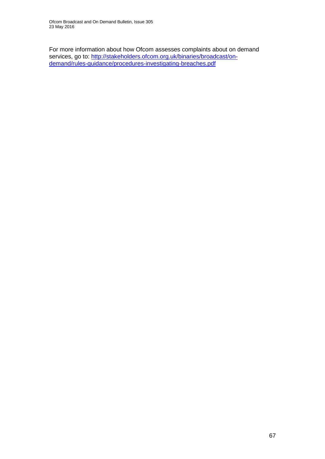For more information about how Ofcom assesses complaints about on demand services, go to: [http://stakeholders.ofcom.org.uk/binaries/broadcast/on](http://stakeholders.ofcom.org.uk/binaries/broadcast/on-demand/rules-guidance/procedures-investigating-breaches.pdf)[demand/rules-guidance/procedures-investigating-breaches.pdf](http://stakeholders.ofcom.org.uk/binaries/broadcast/on-demand/rules-guidance/procedures-investigating-breaches.pdf)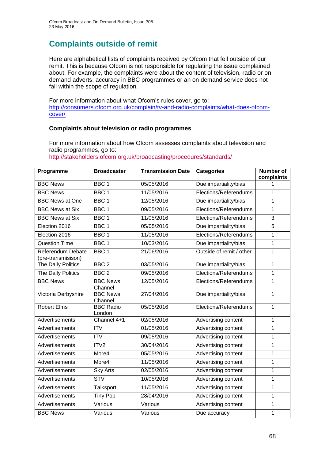# **Complaints outside of remit**

Here are alphabetical lists of complaints received by Ofcom that fell outside of our remit. This is because Ofcom is not responsible for regulating the issue complained about. For example, the complaints were about the content of television, radio or on demand adverts, accuracy in BBC programmes or an on demand service does not fall within the scope of regulation.

For more information about what Ofcom's rules cover, go to: [http://consumers.ofcom.org.uk/complain/tv-and-radio-complaints/what-does-ofcom](http://consumers.ofcom.org.uk/complain/tv-and-radio-complaints/what-does-ofcom-cover/)[cover/](http://consumers.ofcom.org.uk/complain/tv-and-radio-complaints/what-does-ofcom-cover/)

### **Complaints about television or radio programmes**

For more information about how Ofcom assesses complaints about television and radio programmes, go to:

<http://stakeholders.ofcom.org.uk/broadcasting/procedures/standards/>

| Programme                               | <b>Broadcaster</b>         | <b>Transmission Date</b> | <b>Categories</b>        | <b>Number of</b><br>complaints |
|-----------------------------------------|----------------------------|--------------------------|--------------------------|--------------------------------|
| <b>BBC News</b>                         | BBC <sub>1</sub>           | 05/05/2016               | Due impartiality/bias    | 1                              |
| <b>BBC News</b>                         | BBC <sub>1</sub>           | 11/05/2016               | Elections/Referendums    | 1                              |
| <b>BBC News at One</b>                  | BBC <sub>1</sub>           | 12/05/2016               | Due impartiality/bias    | 1                              |
| <b>BBC News at Six</b>                  | BBC <sub>1</sub>           | 09/05/2016               | Elections/Referendums    | 1                              |
| <b>BBC News at Six</b>                  | BBC <sub>1</sub>           | 11/05/2016               | Elections/Referendums    | $\overline{3}$                 |
| Election 2016                           | BBC <sub>1</sub>           | 05/05/2016               | Due impartiality/bias    | 5                              |
| Election 2016                           | BBC <sub>1</sub>           | 11/05/2016               | Elections/Referendums    | 1                              |
| <b>Question Time</b>                    | BBC <sub>1</sub>           | 10/03/2016               | Due impartiality/bias    | $\mathbf 1$                    |
| Referendum Debate<br>(pre-transmisison) | BBC <sub>1</sub>           | 21/06/2016               | Outside of remit / other | 1                              |
| The Daily Politics                      | BBC <sub>2</sub>           | 03/05/2016               | Due impartiality/bias    | 1                              |
| The Daily Politics                      | BBC <sub>2</sub>           | 09/05/2016               | Elections/Referendums    | $\mathbf 1$                    |
| <b>BBC News</b>                         | <b>BBC News</b><br>Channel | 12/05/2016               | Elections/Referendums    | 1                              |
| Victoria Derbyshire                     | <b>BBC News</b><br>Channel | 27/04/2016               | Due impartiality/bias    | $\mathbf 1$                    |
| <b>Robert Elms</b>                      | <b>BBC Radio</b><br>London | 05/05/2016               | Elections/Referendums    | 1                              |
| Advertisements                          | Channel 4+1                | 02/05/2016               | Advertising content      | $\mathbf 1$                    |
| Advertisements                          | <b>ITV</b>                 | 01/05/2016               | Advertising content      | 1                              |
| Advertisements                          | ITV                        | 09/05/2016               | Advertising content      | 1                              |
| Advertisements                          | ITV2                       | 30/04/2016               | Advertising content      | 1                              |
| Advertisements                          | More4                      | 05/05/2016               | Advertising content      | $\mathbf 1$                    |
| Advertisements                          | More4                      | 11/05/2016               | Advertising content      | 1                              |
| Advertisements                          | <b>Sky Arts</b>            | 02/05/2016               | Advertising content      | 1                              |
| Advertisements                          | <b>STV</b>                 | 10/05/2016               | Advertising content      | 1                              |
| Advertisements                          | <b>Talksport</b>           | 11/05/2016               | Advertising content      | $\mathbf 1$                    |
| Advertisements                          | <b>Tiny Pop</b>            | 28/04/2016               | Advertising content      | 1                              |
| Advertisements                          | Various                    | Various                  | Advertising content      | 1                              |
| <b>BBC News</b>                         | Various                    | Various                  | Due accuracy             | 1                              |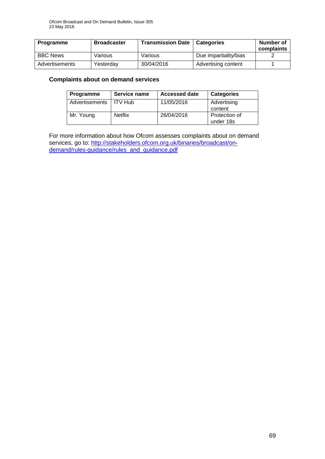| Programme       | <b>Broadcaster</b> | <b>Transmission Date   Categories</b> |                       | Number of<br>complaints |
|-----------------|--------------------|---------------------------------------|-----------------------|-------------------------|
| <b>BBC News</b> | Various            | Various                               | Due impartiality/bias |                         |
| Advertisements  | Yesterdav          | 30/04/2016                            | Advertising content   |                         |

### **Complaints about on demand services**

| <b>Programme</b>         | Service name   | <b>Accessed date</b> | <b>Categories</b>          |
|--------------------------|----------------|----------------------|----------------------------|
| Advertisements   ITV Hub |                | 11/05/2016           | Advertising<br>content     |
| Mr. Young                | <b>Netflix</b> | 26/04/2016           | Protection of<br>under 18s |

For more information about how Ofcom assesses complaints about on demand services, go to: [http://stakeholders.ofcom.org.uk/binaries/broadcast/on](http://stakeholders.ofcom.org.uk/binaries/broadcast/on-demand/rules-guidance/rules_and_guidance.pdf)[demand/rules-guidance/rules\\_and\\_guidance.pdf](http://stakeholders.ofcom.org.uk/binaries/broadcast/on-demand/rules-guidance/rules_and_guidance.pdf)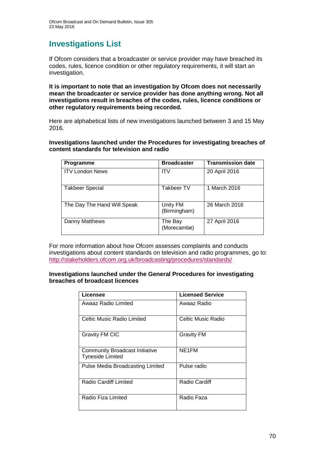# **Investigations List**

If Ofcom considers that a broadcaster or service provider may have breached its codes, rules, licence condition or other regulatory requirements, it will start an investigation.

**It is important to note that an investigation by Ofcom does not necessarily mean the broadcaster or service provider has done anything wrong. Not all investigations result in breaches of the codes, rules, licence conditions or other regulatory requirements being recorded.**

Here are alphabetical lists of new investigations launched between 3 and 15 May 2016.

**Investigations launched under the Procedures for investigating breaches of content standards for television and radio**

| <b>Programme</b>            | <b>Broadcaster</b>       | <b>Transmission date</b> |
|-----------------------------|--------------------------|--------------------------|
| <b>ITV London News</b>      | <b>ITV</b>               | 20 April 2016            |
| <b>Takbeer Special</b>      | Takbeer TV               | 1 March 2016             |
| The Day The Hand Will Speak | Unity FM<br>(Birmingham) | 26 March 2016            |
| Danny Matthews              | The Bay<br>(Morecambe)   | 27 April 2016            |

For more information about how Ofcom assesses complaints and conducts investigations about content standards on television and radio programmes, go to: <http://stakeholders.ofcom.org.uk/broadcasting/procedures/standards/>

#### **Investigations launched under the General Procedures for investigating breaches of broadcast licences**

| Licensee                                                         | <b>Licensed Service</b> |
|------------------------------------------------------------------|-------------------------|
| Awaaz Radio Limited                                              | Awaaz Radio             |
| Celtic Music Radio Limited                                       | Celtic Music Radio      |
| <b>Gravity FM CIC</b>                                            | <b>Gravity FM</b>       |
| <b>Community Broadcast Initiative</b><br><b>Tyneside Limited</b> | NE1FM                   |
| Pulse Media Broadcasting Limited                                 | Pulse radio             |
| <b>Radio Cardiff Limited</b>                                     | <b>Radio Cardiff</b>    |
| Radio Fiza Limited                                               | Radio Faza              |